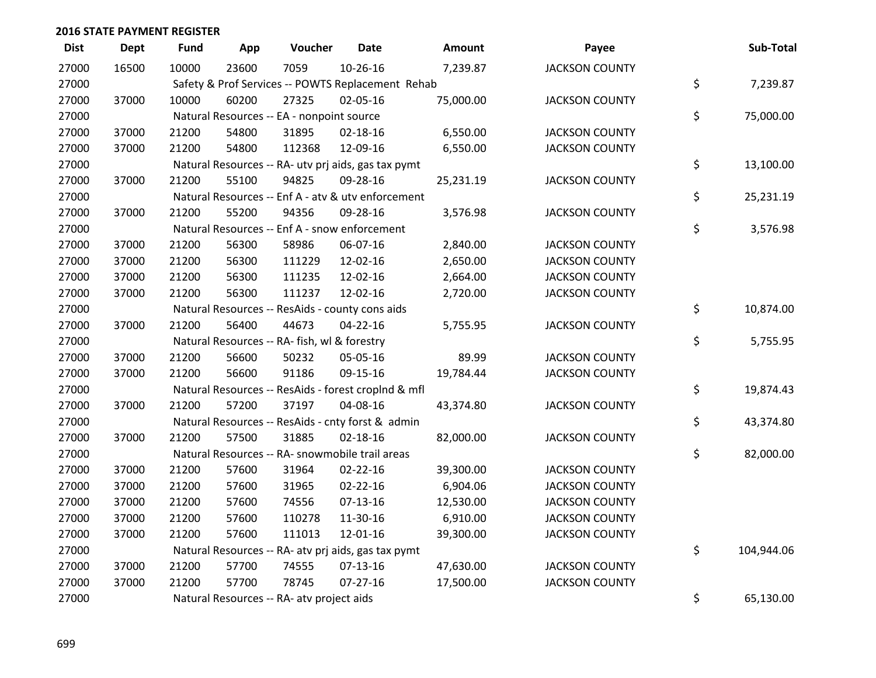| <b>Dist</b> | <b>Dept</b> | <b>Fund</b> | App   | Voucher                                      | <b>Date</b>                                         | <b>Amount</b> | Payee                 | Sub-Total        |
|-------------|-------------|-------------|-------|----------------------------------------------|-----------------------------------------------------|---------------|-----------------------|------------------|
| 27000       | 16500       | 10000       | 23600 | 7059                                         | $10-26-16$                                          | 7,239.87      | <b>JACKSON COUNTY</b> |                  |
| 27000       |             |             |       |                                              | Safety & Prof Services -- POWTS Replacement Rehab   |               |                       | \$<br>7,239.87   |
| 27000       | 37000       | 10000       | 60200 | 27325                                        | 02-05-16                                            | 75,000.00     | <b>JACKSON COUNTY</b> |                  |
| 27000       |             |             |       | Natural Resources -- EA - nonpoint source    |                                                     |               |                       | \$<br>75,000.00  |
| 27000       | 37000       | 21200       | 54800 | 31895                                        | $02 - 18 - 16$                                      | 6,550.00      | <b>JACKSON COUNTY</b> |                  |
| 27000       | 37000       | 21200       | 54800 | 112368                                       | 12-09-16                                            | 6,550.00      | <b>JACKSON COUNTY</b> |                  |
| 27000       |             |             |       |                                              | Natural Resources -- RA- utv prj aids, gas tax pymt |               |                       | \$<br>13,100.00  |
| 27000       | 37000       | 21200       | 55100 | 94825                                        | 09-28-16                                            | 25,231.19     | <b>JACKSON COUNTY</b> |                  |
| 27000       |             |             |       |                                              | Natural Resources -- Enf A - atv & utv enforcement  |               |                       | \$<br>25,231.19  |
| 27000       | 37000       | 21200       | 55200 | 94356                                        | 09-28-16                                            | 3,576.98      | <b>JACKSON COUNTY</b> |                  |
| 27000       |             |             |       |                                              | Natural Resources -- Enf A - snow enforcement       |               |                       | \$<br>3,576.98   |
| 27000       | 37000       | 21200       | 56300 | 58986                                        | 06-07-16                                            | 2,840.00      | <b>JACKSON COUNTY</b> |                  |
| 27000       | 37000       | 21200       | 56300 | 111229                                       | 12-02-16                                            | 2,650.00      | <b>JACKSON COUNTY</b> |                  |
| 27000       | 37000       | 21200       | 56300 | 111235                                       | 12-02-16                                            | 2,664.00      | <b>JACKSON COUNTY</b> |                  |
| 27000       | 37000       | 21200       | 56300 | 111237                                       | 12-02-16                                            | 2,720.00      | <b>JACKSON COUNTY</b> |                  |
| 27000       |             |             |       |                                              | Natural Resources -- ResAids - county cons aids     |               |                       | \$<br>10,874.00  |
| 27000       | 37000       | 21200       | 56400 | 44673                                        | $04 - 22 - 16$                                      | 5,755.95      | <b>JACKSON COUNTY</b> |                  |
| 27000       |             |             |       | Natural Resources -- RA- fish, wl & forestry |                                                     |               |                       | \$<br>5,755.95   |
| 27000       | 37000       | 21200       | 56600 | 50232                                        | 05-05-16                                            | 89.99         | <b>JACKSON COUNTY</b> |                  |
| 27000       | 37000       | 21200       | 56600 | 91186                                        | 09-15-16                                            | 19,784.44     | <b>JACKSON COUNTY</b> |                  |
| 27000       |             |             |       |                                              | Natural Resources -- ResAids - forest croplnd & mfl |               |                       | \$<br>19,874.43  |
| 27000       | 37000       | 21200       | 57200 | 37197                                        | 04-08-16                                            | 43,374.80     | <b>JACKSON COUNTY</b> |                  |
| 27000       |             |             |       |                                              | Natural Resources -- ResAids - cnty forst & admin   |               |                       | \$<br>43,374.80  |
| 27000       | 37000       | 21200       | 57500 | 31885                                        | $02 - 18 - 16$                                      | 82,000.00     | <b>JACKSON COUNTY</b> |                  |
| 27000       |             |             |       |                                              | Natural Resources -- RA- snowmobile trail areas     |               |                       | \$<br>82,000.00  |
| 27000       | 37000       | 21200       | 57600 | 31964                                        | $02 - 22 - 16$                                      | 39,300.00     | <b>JACKSON COUNTY</b> |                  |
| 27000       | 37000       | 21200       | 57600 | 31965                                        | $02 - 22 - 16$                                      | 6,904.06      | <b>JACKSON COUNTY</b> |                  |
| 27000       | 37000       | 21200       | 57600 | 74556                                        | $07-13-16$                                          | 12,530.00     | <b>JACKSON COUNTY</b> |                  |
| 27000       | 37000       | 21200       | 57600 | 110278                                       | 11-30-16                                            | 6,910.00      | <b>JACKSON COUNTY</b> |                  |
| 27000       | 37000       | 21200       | 57600 | 111013                                       | 12-01-16                                            | 39,300.00     | <b>JACKSON COUNTY</b> |                  |
| 27000       |             |             |       |                                              | Natural Resources -- RA- atv prj aids, gas tax pymt |               |                       | \$<br>104,944.06 |
| 27000       | 37000       | 21200       | 57700 | 74555                                        | $07-13-16$                                          | 47,630.00     | <b>JACKSON COUNTY</b> |                  |
| 27000       | 37000       | 21200       | 57700 | 78745                                        | $07 - 27 - 16$                                      | 17,500.00     | <b>JACKSON COUNTY</b> |                  |
| 27000       |             |             |       | Natural Resources -- RA- atv project aids    |                                                     |               |                       | \$<br>65,130.00  |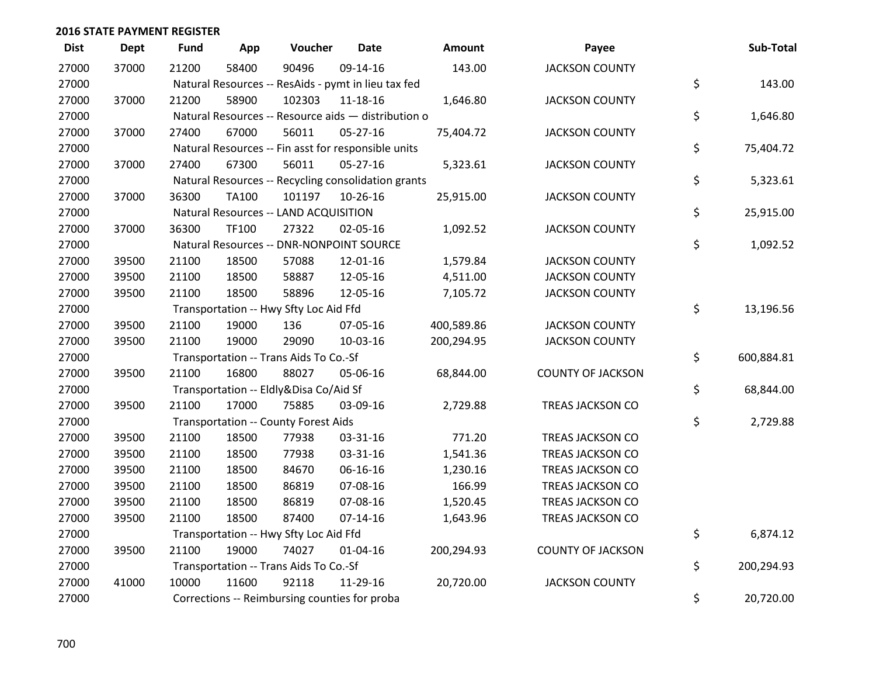| <b>Dist</b> | <b>Dept</b> | <b>Fund</b> | App          | Voucher                                             | <b>Date</b>    | Amount     | Payee                    | Sub-Total        |
|-------------|-------------|-------------|--------------|-----------------------------------------------------|----------------|------------|--------------------------|------------------|
| 27000       | 37000       | 21200       | 58400        | 90496                                               | 09-14-16       | 143.00     | <b>JACKSON COUNTY</b>    |                  |
| 27000       |             |             |              | Natural Resources -- ResAids - pymt in lieu tax fed |                |            |                          | \$<br>143.00     |
| 27000       | 37000       | 21200       | 58900        | 102303                                              | 11-18-16       | 1,646.80   | <b>JACKSON COUNTY</b>    |                  |
| 27000       |             |             |              | Natural Resources -- Resource aids - distribution o |                |            |                          | \$<br>1,646.80   |
| 27000       | 37000       | 27400       | 67000        | 56011                                               | 05-27-16       | 75,404.72  | <b>JACKSON COUNTY</b>    |                  |
| 27000       |             |             |              | Natural Resources -- Fin asst for responsible units |                |            |                          | \$<br>75,404.72  |
| 27000       | 37000       | 27400       | 67300        | 56011                                               | $05 - 27 - 16$ | 5,323.61   | <b>JACKSON COUNTY</b>    |                  |
| 27000       |             |             |              | Natural Resources -- Recycling consolidation grants |                |            |                          | \$<br>5,323.61   |
| 27000       | 37000       | 36300       | <b>TA100</b> | 101197                                              | 10-26-16       | 25,915.00  | <b>JACKSON COUNTY</b>    |                  |
| 27000       |             |             |              | Natural Resources -- LAND ACQUISITION               |                |            |                          | \$<br>25,915.00  |
| 27000       | 37000       | 36300       | TF100        | 27322                                               | 02-05-16       | 1,092.52   | <b>JACKSON COUNTY</b>    |                  |
| 27000       |             |             |              | Natural Resources -- DNR-NONPOINT SOURCE            |                |            |                          | \$<br>1,092.52   |
| 27000       | 39500       | 21100       | 18500        | 57088                                               | 12-01-16       | 1,579.84   | <b>JACKSON COUNTY</b>    |                  |
| 27000       | 39500       | 21100       | 18500        | 58887                                               | 12-05-16       | 4,511.00   | <b>JACKSON COUNTY</b>    |                  |
| 27000       | 39500       | 21100       | 18500        | 58896                                               | 12-05-16       | 7,105.72   | <b>JACKSON COUNTY</b>    |                  |
| 27000       |             |             |              | Transportation -- Hwy Sfty Loc Aid Ffd              |                |            |                          | \$<br>13,196.56  |
| 27000       | 39500       | 21100       | 19000        | 136                                                 | 07-05-16       | 400,589.86 | <b>JACKSON COUNTY</b>    |                  |
| 27000       | 39500       | 21100       | 19000        | 29090                                               | 10-03-16       | 200,294.95 | <b>JACKSON COUNTY</b>    |                  |
| 27000       |             |             |              | Transportation -- Trans Aids To Co.-Sf              |                |            |                          | \$<br>600,884.81 |
| 27000       | 39500       | 21100       | 16800        | 88027                                               | 05-06-16       | 68,844.00  | <b>COUNTY OF JACKSON</b> |                  |
| 27000       |             |             |              | Transportation -- Eldly&Disa Co/Aid Sf              |                |            |                          | \$<br>68,844.00  |
| 27000       | 39500       | 21100       | 17000        | 75885                                               | 03-09-16       | 2,729.88   | TREAS JACKSON CO         |                  |
| 27000       |             |             |              | Transportation -- County Forest Aids                |                |            |                          | \$<br>2,729.88   |
| 27000       | 39500       | 21100       | 18500        | 77938                                               | 03-31-16       | 771.20     | TREAS JACKSON CO         |                  |
| 27000       | 39500       | 21100       | 18500        | 77938                                               | 03-31-16       | 1,541.36   | TREAS JACKSON CO         |                  |
| 27000       | 39500       | 21100       | 18500        | 84670                                               | 06-16-16       | 1,230.16   | TREAS JACKSON CO         |                  |
| 27000       | 39500       | 21100       | 18500        | 86819                                               | 07-08-16       | 166.99     | TREAS JACKSON CO         |                  |
| 27000       | 39500       | 21100       | 18500        | 86819                                               | 07-08-16       | 1,520.45   | TREAS JACKSON CO         |                  |
| 27000       | 39500       | 21100       | 18500        | 87400                                               | $07 - 14 - 16$ | 1,643.96   | TREAS JACKSON CO         |                  |
| 27000       |             |             |              | Transportation -- Hwy Sfty Loc Aid Ffd              |                |            |                          | \$<br>6,874.12   |
| 27000       | 39500       | 21100       | 19000        | 74027                                               | $01 - 04 - 16$ | 200,294.93 | <b>COUNTY OF JACKSON</b> |                  |
| 27000       |             |             |              | Transportation -- Trans Aids To Co.-Sf              |                |            |                          | \$<br>200,294.93 |
| 27000       | 41000       | 10000       | 11600        | 92118                                               | 11-29-16       | 20,720.00  | <b>JACKSON COUNTY</b>    |                  |
| 27000       |             |             |              | Corrections -- Reimbursing counties for proba       |                |            |                          | \$<br>20,720.00  |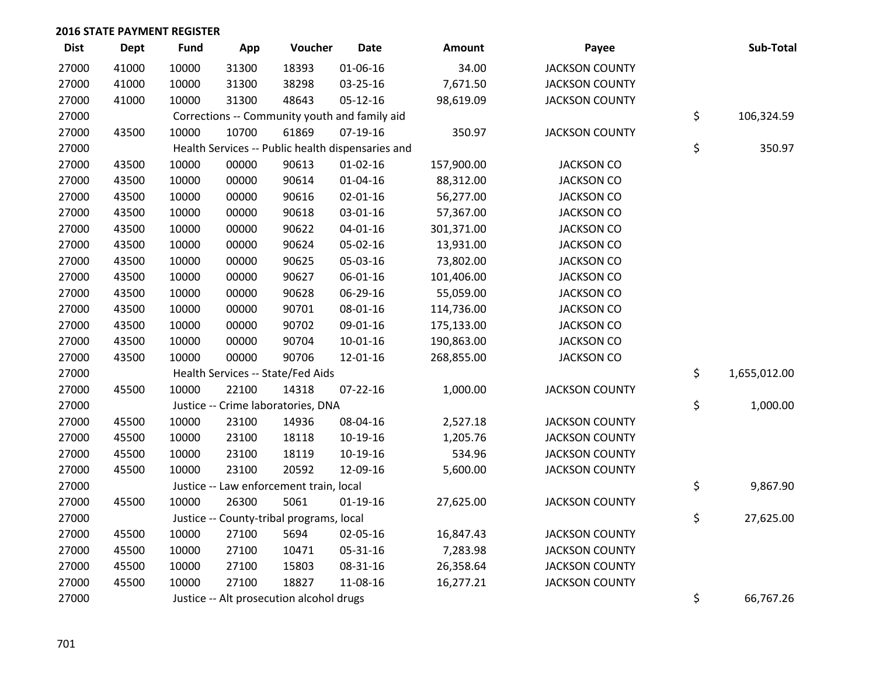| <b>Dist</b> | <b>Dept</b> | <b>Fund</b> | App   | Voucher                                  | <b>Date</b>                                       | Amount     | Payee                 | Sub-Total          |
|-------------|-------------|-------------|-------|------------------------------------------|---------------------------------------------------|------------|-----------------------|--------------------|
| 27000       | 41000       | 10000       | 31300 | 18393                                    | 01-06-16                                          | 34.00      | <b>JACKSON COUNTY</b> |                    |
| 27000       | 41000       | 10000       | 31300 | 38298                                    | 03-25-16                                          | 7,671.50   | <b>JACKSON COUNTY</b> |                    |
| 27000       | 41000       | 10000       | 31300 | 48643                                    | 05-12-16                                          | 98,619.09  | <b>JACKSON COUNTY</b> |                    |
| 27000       |             |             |       |                                          | Corrections -- Community youth and family aid     |            |                       | \$<br>106,324.59   |
| 27000       | 43500       | 10000       | 10700 | 61869                                    | $07-19-16$                                        | 350.97     | <b>JACKSON COUNTY</b> |                    |
| 27000       |             |             |       |                                          | Health Services -- Public health dispensaries and |            |                       | \$<br>350.97       |
| 27000       | 43500       | 10000       | 00000 | 90613                                    | $01 - 02 - 16$                                    | 157,900.00 | <b>JACKSON CO</b>     |                    |
| 27000       | 43500       | 10000       | 00000 | 90614                                    | $01 - 04 - 16$                                    | 88,312.00  | <b>JACKSON CO</b>     |                    |
| 27000       | 43500       | 10000       | 00000 | 90616                                    | 02-01-16                                          | 56,277.00  | <b>JACKSON CO</b>     |                    |
| 27000       | 43500       | 10000       | 00000 | 90618                                    | 03-01-16                                          | 57,367.00  | <b>JACKSON CO</b>     |                    |
| 27000       | 43500       | 10000       | 00000 | 90622                                    | $04 - 01 - 16$                                    | 301,371.00 | <b>JACKSON CO</b>     |                    |
| 27000       | 43500       | 10000       | 00000 | 90624                                    | 05-02-16                                          | 13,931.00  | <b>JACKSON CO</b>     |                    |
| 27000       | 43500       | 10000       | 00000 | 90625                                    | 05-03-16                                          | 73,802.00  | <b>JACKSON CO</b>     |                    |
| 27000       | 43500       | 10000       | 00000 | 90627                                    | 06-01-16                                          | 101,406.00 | <b>JACKSON CO</b>     |                    |
| 27000       | 43500       | 10000       | 00000 | 90628                                    | 06-29-16                                          | 55,059.00  | <b>JACKSON CO</b>     |                    |
| 27000       | 43500       | 10000       | 00000 | 90701                                    | 08-01-16                                          | 114,736.00 | <b>JACKSON CO</b>     |                    |
| 27000       | 43500       | 10000       | 00000 | 90702                                    | 09-01-16                                          | 175,133.00 | <b>JACKSON CO</b>     |                    |
| 27000       | 43500       | 10000       | 00000 | 90704                                    | $10 - 01 - 16$                                    | 190,863.00 | <b>JACKSON CO</b>     |                    |
| 27000       | 43500       | 10000       | 00000 | 90706                                    | 12-01-16                                          | 268,855.00 | <b>JACKSON CO</b>     |                    |
| 27000       |             |             |       | Health Services -- State/Fed Aids        |                                                   |            |                       | \$<br>1,655,012.00 |
| 27000       | 45500       | 10000       | 22100 | 14318                                    | $07 - 22 - 16$                                    | 1,000.00   | <b>JACKSON COUNTY</b> |                    |
| 27000       |             |             |       | Justice -- Crime laboratories, DNA       |                                                   |            |                       | \$<br>1,000.00     |
| 27000       | 45500       | 10000       | 23100 | 14936                                    | 08-04-16                                          | 2,527.18   | <b>JACKSON COUNTY</b> |                    |
| 27000       | 45500       | 10000       | 23100 | 18118                                    | 10-19-16                                          | 1,205.76   | <b>JACKSON COUNTY</b> |                    |
| 27000       | 45500       | 10000       | 23100 | 18119                                    | 10-19-16                                          | 534.96     | <b>JACKSON COUNTY</b> |                    |
| 27000       | 45500       | 10000       | 23100 | 20592                                    | 12-09-16                                          | 5,600.00   | <b>JACKSON COUNTY</b> |                    |
| 27000       |             |             |       | Justice -- Law enforcement train, local  |                                                   |            |                       | \$<br>9,867.90     |
| 27000       | 45500       | 10000       | 26300 | 5061                                     | $01-19-16$                                        | 27,625.00  | <b>JACKSON COUNTY</b> |                    |
| 27000       |             |             |       | Justice -- County-tribal programs, local |                                                   |            |                       | \$<br>27,625.00    |
| 27000       | 45500       | 10000       | 27100 | 5694                                     | 02-05-16                                          | 16,847.43  | <b>JACKSON COUNTY</b> |                    |
| 27000       | 45500       | 10000       | 27100 | 10471                                    | 05-31-16                                          | 7,283.98   | <b>JACKSON COUNTY</b> |                    |
| 27000       | 45500       | 10000       | 27100 | 15803                                    | 08-31-16                                          | 26,358.64  | <b>JACKSON COUNTY</b> |                    |
| 27000       | 45500       | 10000       | 27100 | 18827                                    | 11-08-16                                          | 16,277.21  | <b>JACKSON COUNTY</b> |                    |
| 27000       |             |             |       | Justice -- Alt prosecution alcohol drugs |                                                   |            |                       | \$<br>66,767.26    |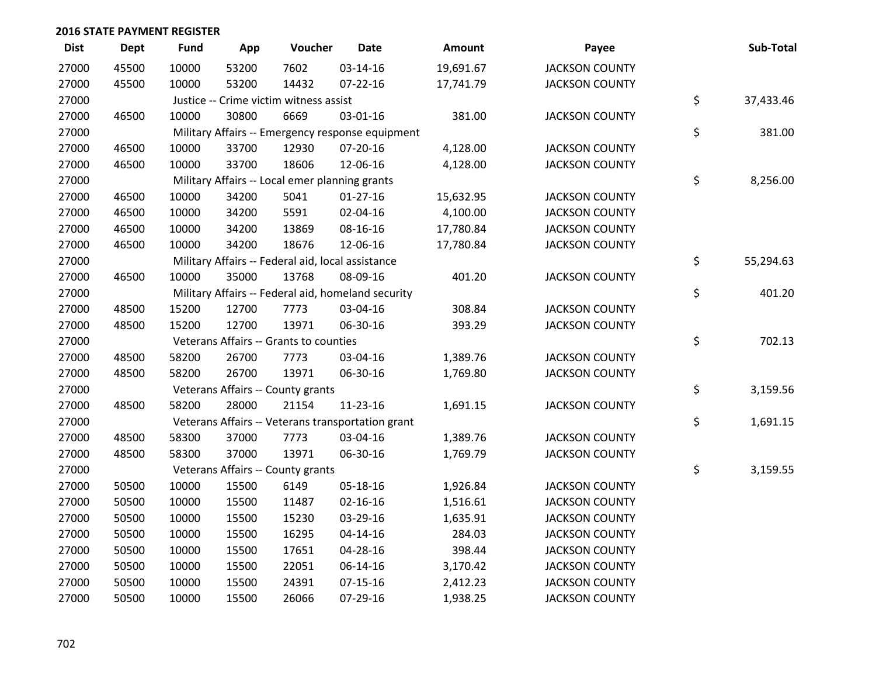| <b>Dist</b> | <b>Dept</b> | <b>Fund</b> | App   | Voucher                                           | <b>Date</b>                                        | Amount    | Payee                 | Sub-Total       |
|-------------|-------------|-------------|-------|---------------------------------------------------|----------------------------------------------------|-----------|-----------------------|-----------------|
| 27000       | 45500       | 10000       | 53200 | 7602                                              | 03-14-16                                           | 19,691.67 | <b>JACKSON COUNTY</b> |                 |
| 27000       | 45500       | 10000       | 53200 | 14432                                             | $07 - 22 - 16$                                     | 17,741.79 | <b>JACKSON COUNTY</b> |                 |
| 27000       |             |             |       | Justice -- Crime victim witness assist            |                                                    |           |                       | \$<br>37,433.46 |
| 27000       | 46500       | 10000       | 30800 | 6669                                              | 03-01-16                                           | 381.00    | <b>JACKSON COUNTY</b> |                 |
| 27000       |             |             |       |                                                   | Military Affairs -- Emergency response equipment   |           |                       | \$<br>381.00    |
| 27000       | 46500       | 10000       | 33700 | 12930                                             | 07-20-16                                           | 4,128.00  | <b>JACKSON COUNTY</b> |                 |
| 27000       | 46500       | 10000       | 33700 | 18606                                             | 12-06-16                                           | 4,128.00  | <b>JACKSON COUNTY</b> |                 |
| 27000       |             |             |       | Military Affairs -- Local emer planning grants    |                                                    |           |                       | \$<br>8,256.00  |
| 27000       | 46500       | 10000       | 34200 | 5041                                              | $01-27-16$                                         | 15,632.95 | <b>JACKSON COUNTY</b> |                 |
| 27000       | 46500       | 10000       | 34200 | 5591                                              | 02-04-16                                           | 4,100.00  | <b>JACKSON COUNTY</b> |                 |
| 27000       | 46500       | 10000       | 34200 | 13869                                             | 08-16-16                                           | 17,780.84 | <b>JACKSON COUNTY</b> |                 |
| 27000       | 46500       | 10000       | 34200 | 18676                                             | 12-06-16                                           | 17,780.84 | <b>JACKSON COUNTY</b> |                 |
| 27000       |             |             |       | Military Affairs -- Federal aid, local assistance |                                                    |           |                       | \$<br>55,294.63 |
| 27000       | 46500       | 10000       | 35000 | 13768                                             | 08-09-16                                           | 401.20    | <b>JACKSON COUNTY</b> |                 |
| 27000       |             |             |       |                                                   | Military Affairs -- Federal aid, homeland security |           |                       | \$<br>401.20    |
| 27000       | 48500       | 15200       | 12700 | 7773                                              | 03-04-16                                           | 308.84    | <b>JACKSON COUNTY</b> |                 |
| 27000       | 48500       | 15200       | 12700 | 13971                                             | 06-30-16                                           | 393.29    | <b>JACKSON COUNTY</b> |                 |
| 27000       |             |             |       | Veterans Affairs -- Grants to counties            |                                                    |           |                       | \$<br>702.13    |
| 27000       | 48500       | 58200       | 26700 | 7773                                              | 03-04-16                                           | 1,389.76  | <b>JACKSON COUNTY</b> |                 |
| 27000       | 48500       | 58200       | 26700 | 13971                                             | 06-30-16                                           | 1,769.80  | <b>JACKSON COUNTY</b> |                 |
| 27000       |             |             |       | Veterans Affairs -- County grants                 |                                                    |           |                       | \$<br>3,159.56  |
| 27000       | 48500       | 58200       | 28000 | 21154                                             | 11-23-16                                           | 1,691.15  | <b>JACKSON COUNTY</b> |                 |
| 27000       |             |             |       |                                                   | Veterans Affairs -- Veterans transportation grant  |           |                       | \$<br>1,691.15  |
| 27000       | 48500       | 58300       | 37000 | 7773                                              | 03-04-16                                           | 1,389.76  | <b>JACKSON COUNTY</b> |                 |
| 27000       | 48500       | 58300       | 37000 | 13971                                             | 06-30-16                                           | 1,769.79  | <b>JACKSON COUNTY</b> |                 |
| 27000       |             |             |       | Veterans Affairs -- County grants                 |                                                    |           |                       | \$<br>3,159.55  |
| 27000       | 50500       | 10000       | 15500 | 6149                                              | 05-18-16                                           | 1,926.84  | <b>JACKSON COUNTY</b> |                 |
| 27000       | 50500       | 10000       | 15500 | 11487                                             | $02 - 16 - 16$                                     | 1,516.61  | <b>JACKSON COUNTY</b> |                 |
| 27000       | 50500       | 10000       | 15500 | 15230                                             | 03-29-16                                           | 1,635.91  | <b>JACKSON COUNTY</b> |                 |
| 27000       | 50500       | 10000       | 15500 | 16295                                             | $04 - 14 - 16$                                     | 284.03    | <b>JACKSON COUNTY</b> |                 |
| 27000       | 50500       | 10000       | 15500 | 17651                                             | 04-28-16                                           | 398.44    | <b>JACKSON COUNTY</b> |                 |
| 27000       | 50500       | 10000       | 15500 | 22051                                             | 06-14-16                                           | 3,170.42  | <b>JACKSON COUNTY</b> |                 |
| 27000       | 50500       | 10000       | 15500 | 24391                                             | $07-15-16$                                         | 2,412.23  | <b>JACKSON COUNTY</b> |                 |
| 27000       | 50500       | 10000       | 15500 | 26066                                             | 07-29-16                                           | 1,938.25  | <b>JACKSON COUNTY</b> |                 |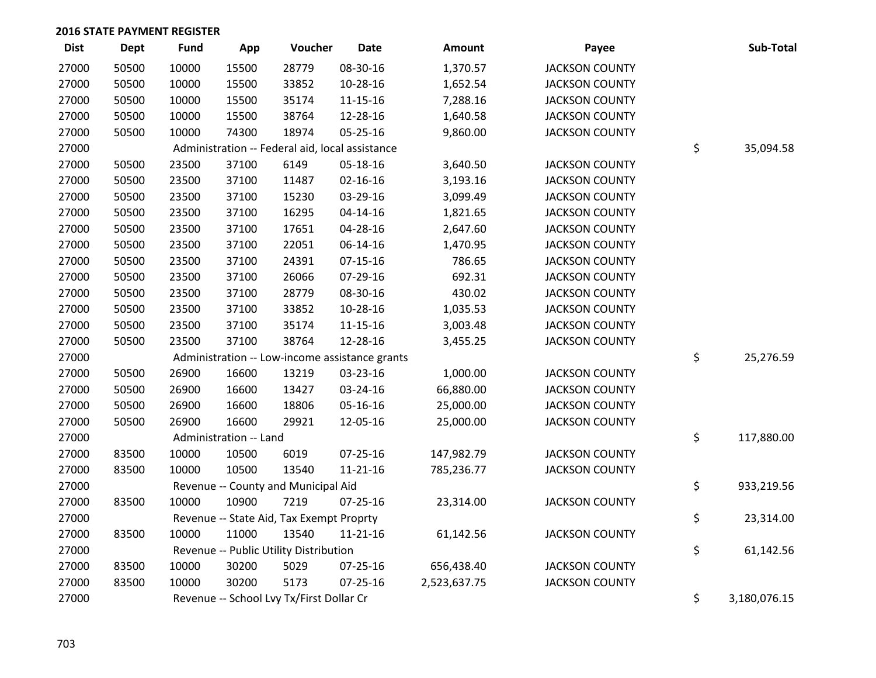| <b>Dist</b> | <b>Dept</b> | <b>Fund</b> | App                    | Voucher                                         | <b>Date</b>    | Amount       | Payee                 | Sub-Total          |
|-------------|-------------|-------------|------------------------|-------------------------------------------------|----------------|--------------|-----------------------|--------------------|
| 27000       | 50500       | 10000       | 15500                  | 28779                                           | 08-30-16       | 1,370.57     | <b>JACKSON COUNTY</b> |                    |
| 27000       | 50500       | 10000       | 15500                  | 33852                                           | 10-28-16       | 1,652.54     | <b>JACKSON COUNTY</b> |                    |
| 27000       | 50500       | 10000       | 15500                  | 35174                                           | 11-15-16       | 7,288.16     | <b>JACKSON COUNTY</b> |                    |
| 27000       | 50500       | 10000       | 15500                  | 38764                                           | 12-28-16       | 1,640.58     | <b>JACKSON COUNTY</b> |                    |
| 27000       | 50500       | 10000       | 74300                  | 18974                                           | $05 - 25 - 16$ | 9,860.00     | <b>JACKSON COUNTY</b> |                    |
| 27000       |             |             |                        | Administration -- Federal aid, local assistance |                |              |                       | \$<br>35,094.58    |
| 27000       | 50500       | 23500       | 37100                  | 6149                                            | 05-18-16       | 3,640.50     | <b>JACKSON COUNTY</b> |                    |
| 27000       | 50500       | 23500       | 37100                  | 11487                                           | $02 - 16 - 16$ | 3,193.16     | <b>JACKSON COUNTY</b> |                    |
| 27000       | 50500       | 23500       | 37100                  | 15230                                           | 03-29-16       | 3,099.49     | <b>JACKSON COUNTY</b> |                    |
| 27000       | 50500       | 23500       | 37100                  | 16295                                           | 04-14-16       | 1,821.65     | <b>JACKSON COUNTY</b> |                    |
| 27000       | 50500       | 23500       | 37100                  | 17651                                           | 04-28-16       | 2,647.60     | <b>JACKSON COUNTY</b> |                    |
| 27000       | 50500       | 23500       | 37100                  | 22051                                           | 06-14-16       | 1,470.95     | <b>JACKSON COUNTY</b> |                    |
| 27000       | 50500       | 23500       | 37100                  | 24391                                           | $07-15-16$     | 786.65       | <b>JACKSON COUNTY</b> |                    |
| 27000       | 50500       | 23500       | 37100                  | 26066                                           | 07-29-16       | 692.31       | <b>JACKSON COUNTY</b> |                    |
| 27000       | 50500       | 23500       | 37100                  | 28779                                           | 08-30-16       | 430.02       | <b>JACKSON COUNTY</b> |                    |
| 27000       | 50500       | 23500       | 37100                  | 33852                                           | 10-28-16       | 1,035.53     | <b>JACKSON COUNTY</b> |                    |
| 27000       | 50500       | 23500       | 37100                  | 35174                                           | $11 - 15 - 16$ | 3,003.48     | <b>JACKSON COUNTY</b> |                    |
| 27000       | 50500       | 23500       | 37100                  | 38764                                           | 12-28-16       | 3,455.25     | <b>JACKSON COUNTY</b> |                    |
| 27000       |             |             |                        | Administration -- Low-income assistance grants  |                |              |                       | \$<br>25,276.59    |
| 27000       | 50500       | 26900       | 16600                  | 13219                                           | 03-23-16       | 1,000.00     | <b>JACKSON COUNTY</b> |                    |
| 27000       | 50500       | 26900       | 16600                  | 13427                                           | 03-24-16       | 66,880.00    | <b>JACKSON COUNTY</b> |                    |
| 27000       | 50500       | 26900       | 16600                  | 18806                                           | 05-16-16       | 25,000.00    | <b>JACKSON COUNTY</b> |                    |
| 27000       | 50500       | 26900       | 16600                  | 29921                                           | 12-05-16       | 25,000.00    | <b>JACKSON COUNTY</b> |                    |
| 27000       |             |             | Administration -- Land |                                                 |                |              |                       | \$<br>117,880.00   |
| 27000       | 83500       | 10000       | 10500                  | 6019                                            | $07 - 25 - 16$ | 147,982.79   | <b>JACKSON COUNTY</b> |                    |
| 27000       | 83500       | 10000       | 10500                  | 13540                                           | $11 - 21 - 16$ | 785,236.77   | <b>JACKSON COUNTY</b> |                    |
| 27000       |             |             |                        | Revenue -- County and Municipal Aid             |                |              |                       | \$<br>933,219.56   |
| 27000       | 83500       | 10000       | 10900                  | 7219                                            | $07 - 25 - 16$ | 23,314.00    | <b>JACKSON COUNTY</b> |                    |
| 27000       |             |             |                        | Revenue -- State Aid, Tax Exempt Proprty        |                |              |                       | \$<br>23,314.00    |
| 27000       | 83500       | 10000       | 11000                  | 13540                                           | $11 - 21 - 16$ | 61,142.56    | <b>JACKSON COUNTY</b> |                    |
| 27000       |             |             |                        | Revenue -- Public Utility Distribution          |                |              |                       | \$<br>61,142.56    |
| 27000       | 83500       | 10000       | 30200                  | 5029                                            | 07-25-16       | 656,438.40   | <b>JACKSON COUNTY</b> |                    |
| 27000       | 83500       | 10000       | 30200                  | 5173                                            | $07 - 25 - 16$ | 2,523,637.75 | <b>JACKSON COUNTY</b> |                    |
| 27000       |             |             |                        | Revenue -- School Lvy Tx/First Dollar Cr        |                |              |                       | \$<br>3,180,076.15 |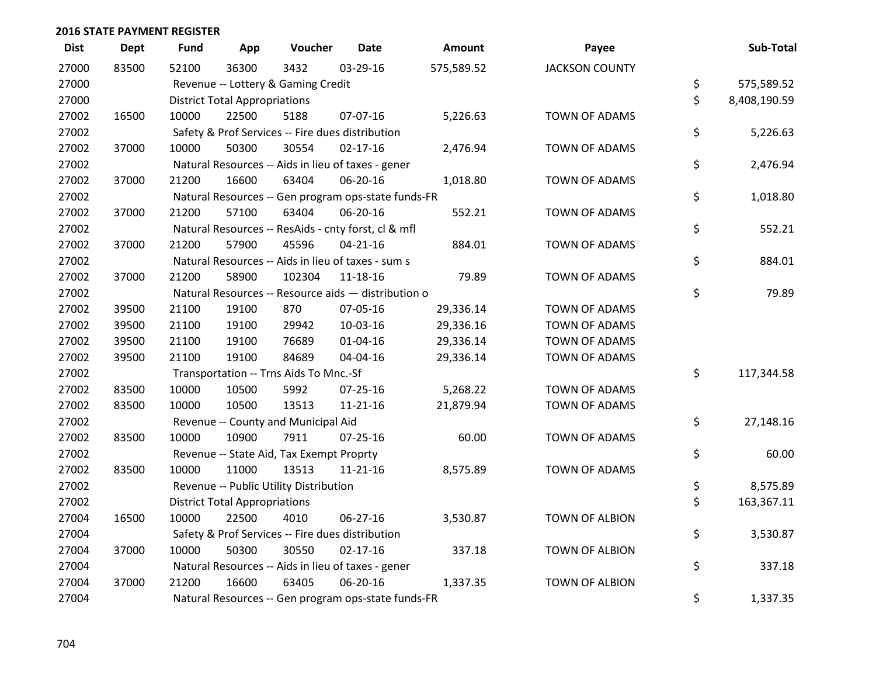| <b>Dist</b> | <b>Dept</b> | <b>Fund</b> | App                                  | Voucher                                          | <b>Date</b>                                         | Amount     | Payee                 | Sub-Total          |
|-------------|-------------|-------------|--------------------------------------|--------------------------------------------------|-----------------------------------------------------|------------|-----------------------|--------------------|
| 27000       | 83500       | 52100       | 36300                                | 3432                                             | 03-29-16                                            | 575,589.52 | <b>JACKSON COUNTY</b> |                    |
| 27000       |             |             |                                      | Revenue -- Lottery & Gaming Credit               |                                                     |            |                       | \$<br>575,589.52   |
| 27000       |             |             | <b>District Total Appropriations</b> |                                                  |                                                     |            |                       | \$<br>8,408,190.59 |
| 27002       | 16500       | 10000       | 22500                                | 5188                                             | 07-07-16                                            | 5,226.63   | <b>TOWN OF ADAMS</b>  |                    |
| 27002       |             |             |                                      | Safety & Prof Services -- Fire dues distribution |                                                     |            |                       | \$<br>5,226.63     |
| 27002       | 37000       | 10000       | 50300                                | 30554                                            | $02 - 17 - 16$                                      | 2,476.94   | TOWN OF ADAMS         |                    |
| 27002       |             |             |                                      |                                                  | Natural Resources -- Aids in lieu of taxes - gener  |            |                       | \$<br>2,476.94     |
| 27002       | 37000       | 21200       | 16600                                | 63404                                            | 06-20-16                                            | 1,018.80   | <b>TOWN OF ADAMS</b>  |                    |
| 27002       |             |             |                                      |                                                  | Natural Resources -- Gen program ops-state funds-FR |            |                       | \$<br>1,018.80     |
| 27002       | 37000       | 21200       | 57100                                | 63404                                            | 06-20-16                                            | 552.21     | <b>TOWN OF ADAMS</b>  |                    |
| 27002       |             |             |                                      |                                                  | Natural Resources -- ResAids - cnty forst, cl & mfl |            |                       | \$<br>552.21       |
| 27002       | 37000       | 21200       | 57900                                | 45596                                            | $04 - 21 - 16$                                      | 884.01     | <b>TOWN OF ADAMS</b>  |                    |
| 27002       |             |             |                                      |                                                  | Natural Resources -- Aids in lieu of taxes - sum s  |            |                       | \$<br>884.01       |
| 27002       | 37000       | 21200       | 58900                                | 102304                                           | 11-18-16                                            | 79.89      | <b>TOWN OF ADAMS</b>  |                    |
| 27002       |             |             |                                      |                                                  | Natural Resources -- Resource aids - distribution o |            |                       | \$<br>79.89        |
| 27002       | 39500       | 21100       | 19100                                | 870                                              | 07-05-16                                            | 29,336.14  | <b>TOWN OF ADAMS</b>  |                    |
| 27002       | 39500       | 21100       | 19100                                | 29942                                            | 10-03-16                                            | 29,336.16  | <b>TOWN OF ADAMS</b>  |                    |
| 27002       | 39500       | 21100       | 19100                                | 76689                                            | $01 - 04 - 16$                                      | 29,336.14  | <b>TOWN OF ADAMS</b>  |                    |
| 27002       | 39500       | 21100       | 19100                                | 84689                                            | 04-04-16                                            | 29,336.14  | <b>TOWN OF ADAMS</b>  |                    |
| 27002       |             |             |                                      | Transportation -- Trns Aids To Mnc.-Sf           |                                                     |            |                       | \$<br>117,344.58   |
| 27002       | 83500       | 10000       | 10500                                | 5992                                             | $07 - 25 - 16$                                      | 5,268.22   | <b>TOWN OF ADAMS</b>  |                    |
| 27002       | 83500       | 10000       | 10500                                | 13513                                            | $11 - 21 - 16$                                      | 21,879.94  | TOWN OF ADAMS         |                    |
| 27002       |             |             |                                      | Revenue -- County and Municipal Aid              |                                                     |            |                       | \$<br>27,148.16    |
| 27002       | 83500       | 10000       | 10900                                | 7911                                             | 07-25-16                                            | 60.00      | TOWN OF ADAMS         |                    |
| 27002       |             |             |                                      | Revenue -- State Aid, Tax Exempt Proprty         |                                                     |            |                       | \$<br>60.00        |
| 27002       | 83500       | 10000       | 11000                                | 13513                                            | $11 - 21 - 16$                                      | 8,575.89   | <b>TOWN OF ADAMS</b>  |                    |
| 27002       |             |             |                                      | Revenue -- Public Utility Distribution           |                                                     |            |                       | \$<br>8,575.89     |
| 27002       |             |             | <b>District Total Appropriations</b> |                                                  |                                                     |            |                       | \$<br>163,367.11   |
| 27004       | 16500       | 10000       | 22500                                | 4010                                             | 06-27-16                                            | 3,530.87   | <b>TOWN OF ALBION</b> |                    |
| 27004       |             |             |                                      | Safety & Prof Services -- Fire dues distribution |                                                     |            |                       | \$<br>3,530.87     |
| 27004       | 37000       | 10000       | 50300                                | 30550                                            | $02 - 17 - 16$                                      | 337.18     | <b>TOWN OF ALBION</b> |                    |
| 27004       |             |             |                                      |                                                  | Natural Resources -- Aids in lieu of taxes - gener  |            |                       | \$<br>337.18       |
| 27004       | 37000       | 21200       | 16600                                | 63405                                            | 06-20-16                                            | 1,337.35   | <b>TOWN OF ALBION</b> |                    |
| 27004       |             |             |                                      |                                                  | Natural Resources -- Gen program ops-state funds-FR |            |                       | \$<br>1,337.35     |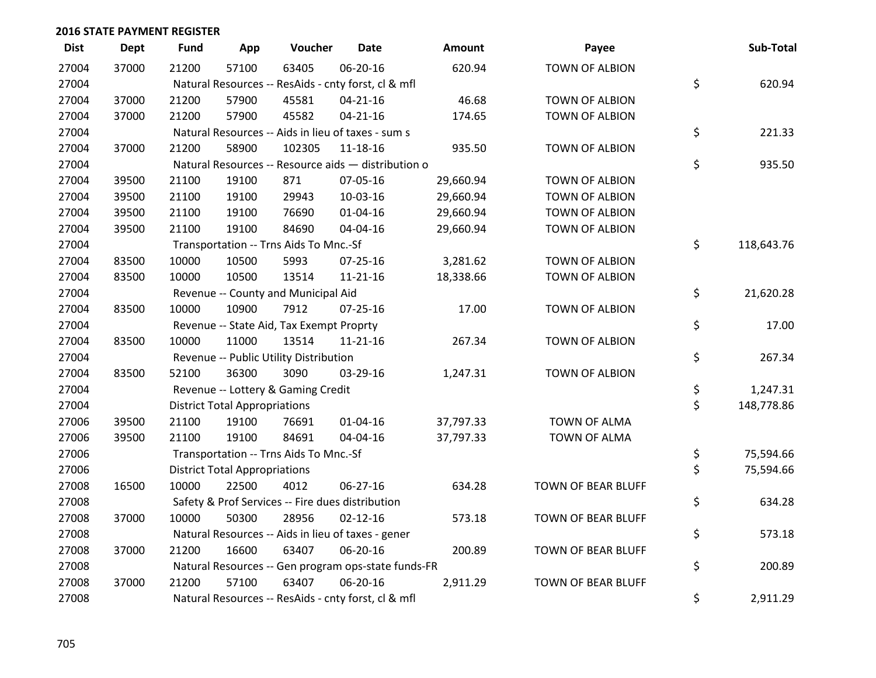| <b>Dist</b> | <b>Dept</b> | <b>Fund</b> | App                                  | Voucher                                             | <b>Date</b>    | <b>Amount</b> | Payee                     | Sub-Total        |
|-------------|-------------|-------------|--------------------------------------|-----------------------------------------------------|----------------|---------------|---------------------------|------------------|
| 27004       | 37000       | 21200       | 57100                                | 63405                                               | 06-20-16       | 620.94        | TOWN OF ALBION            |                  |
| 27004       |             |             |                                      | Natural Resources -- ResAids - cnty forst, cl & mfl |                |               |                           | \$<br>620.94     |
| 27004       | 37000       | 21200       | 57900                                | 45581                                               | $04 - 21 - 16$ | 46.68         | TOWN OF ALBION            |                  |
| 27004       | 37000       | 21200       | 57900                                | 45582                                               | $04 - 21 - 16$ | 174.65        | TOWN OF ALBION            |                  |
| 27004       |             |             |                                      | Natural Resources -- Aids in lieu of taxes - sum s  |                |               |                           | \$<br>221.33     |
| 27004       | 37000       | 21200       | 58900                                | 102305                                              | 11-18-16       | 935.50        | TOWN OF ALBION            |                  |
| 27004       |             |             |                                      | Natural Resources -- Resource aids - distribution o |                |               |                           | \$<br>935.50     |
| 27004       | 39500       | 21100       | 19100                                | 871                                                 | 07-05-16       | 29,660.94     | <b>TOWN OF ALBION</b>     |                  |
| 27004       | 39500       | 21100       | 19100                                | 29943                                               | 10-03-16       | 29,660.94     | TOWN OF ALBION            |                  |
| 27004       | 39500       | 21100       | 19100                                | 76690                                               | 01-04-16       | 29,660.94     | TOWN OF ALBION            |                  |
| 27004       | 39500       | 21100       | 19100                                | 84690                                               | 04-04-16       | 29,660.94     | TOWN OF ALBION            |                  |
| 27004       |             |             |                                      | Transportation -- Trns Aids To Mnc.-Sf              |                |               |                           | \$<br>118,643.76 |
| 27004       | 83500       | 10000       | 10500                                | 5993                                                | 07-25-16       | 3,281.62      | <b>TOWN OF ALBION</b>     |                  |
| 27004       | 83500       | 10000       | 10500                                | 13514                                               | 11-21-16       | 18,338.66     | TOWN OF ALBION            |                  |
| 27004       |             |             |                                      | Revenue -- County and Municipal Aid                 |                |               |                           | \$<br>21,620.28  |
| 27004       | 83500       | 10000       | 10900                                | 7912                                                | $07 - 25 - 16$ | 17.00         | <b>TOWN OF ALBION</b>     |                  |
| 27004       |             |             |                                      | Revenue -- State Aid, Tax Exempt Proprty            |                |               |                           | \$<br>17.00      |
| 27004       | 83500       | 10000       | 11000                                | 13514                                               | $11 - 21 - 16$ | 267.34        | TOWN OF ALBION            |                  |
| 27004       |             |             |                                      | Revenue -- Public Utility Distribution              |                |               |                           | \$<br>267.34     |
| 27004       | 83500       | 52100       | 36300                                | 3090                                                | 03-29-16       | 1,247.31      | TOWN OF ALBION            |                  |
| 27004       |             |             |                                      | Revenue -- Lottery & Gaming Credit                  |                |               |                           | \$<br>1,247.31   |
| 27004       |             |             | <b>District Total Appropriations</b> |                                                     |                |               |                           | \$<br>148,778.86 |
| 27006       | 39500       | 21100       | 19100                                | 76691                                               | $01 - 04 - 16$ | 37,797.33     | TOWN OF ALMA              |                  |
| 27006       | 39500       | 21100       | 19100                                | 84691                                               | 04-04-16       | 37,797.33     | <b>TOWN OF ALMA</b>       |                  |
| 27006       |             |             |                                      | Transportation -- Trns Aids To Mnc.-Sf              |                |               |                           | \$<br>75,594.66  |
| 27006       |             |             | <b>District Total Appropriations</b> |                                                     |                |               |                           | \$<br>75,594.66  |
| 27008       | 16500       | 10000       | 22500                                | 4012                                                | $06 - 27 - 16$ | 634.28        | TOWN OF BEAR BLUFF        |                  |
| 27008       |             |             |                                      | Safety & Prof Services -- Fire dues distribution    |                |               |                           | \$<br>634.28     |
| 27008       | 37000       | 10000       | 50300                                | 28956                                               | $02 - 12 - 16$ | 573.18        | TOWN OF BEAR BLUFF        |                  |
| 27008       |             |             |                                      | Natural Resources -- Aids in lieu of taxes - gener  |                |               |                           | \$<br>573.18     |
| 27008       | 37000       | 21200       | 16600                                | 63407                                               | 06-20-16       | 200.89        | TOWN OF BEAR BLUFF        |                  |
| 27008       |             |             |                                      | Natural Resources -- Gen program ops-state funds-FR |                |               |                           | \$<br>200.89     |
| 27008       | 37000       | 21200       | 57100                                | 63407                                               | 06-20-16       | 2,911.29      | <b>TOWN OF BEAR BLUFF</b> |                  |
| 27008       |             |             |                                      | Natural Resources -- ResAids - cnty forst, cl & mfl |                |               |                           | \$<br>2,911.29   |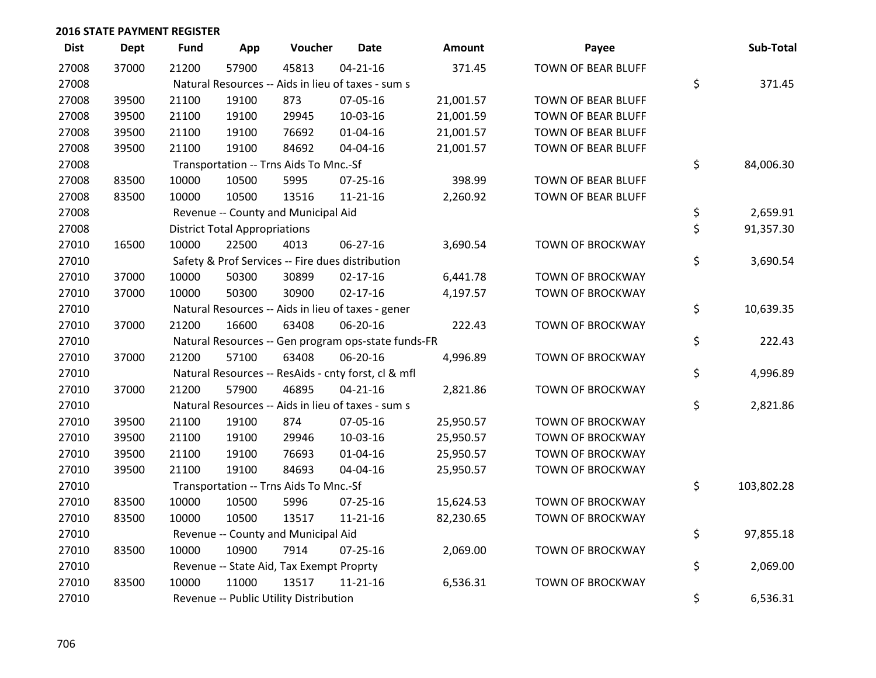| <b>Dist</b> | <b>Dept</b> | <b>Fund</b> | App                                  | Voucher                                  | <b>Date</b>                                         | <b>Amount</b> | Payee                     | Sub-Total        |
|-------------|-------------|-------------|--------------------------------------|------------------------------------------|-----------------------------------------------------|---------------|---------------------------|------------------|
| 27008       | 37000       | 21200       | 57900                                | 45813                                    | $04 - 21 - 16$                                      | 371.45        | <b>TOWN OF BEAR BLUFF</b> |                  |
| 27008       |             |             |                                      |                                          | Natural Resources -- Aids in lieu of taxes - sum s  |               |                           | \$<br>371.45     |
| 27008       | 39500       | 21100       | 19100                                | 873                                      | 07-05-16                                            | 21,001.57     | TOWN OF BEAR BLUFF        |                  |
| 27008       | 39500       | 21100       | 19100                                | 29945                                    | 10-03-16                                            | 21,001.59     | TOWN OF BEAR BLUFF        |                  |
| 27008       | 39500       | 21100       | 19100                                | 76692                                    | $01 - 04 - 16$                                      | 21,001.57     | TOWN OF BEAR BLUFF        |                  |
| 27008       | 39500       | 21100       | 19100                                | 84692                                    | 04-04-16                                            | 21,001.57     | TOWN OF BEAR BLUFF        |                  |
| 27008       |             |             |                                      | Transportation -- Trns Aids To Mnc.-Sf   |                                                     |               |                           | \$<br>84,006.30  |
| 27008       | 83500       | 10000       | 10500                                | 5995                                     | $07 - 25 - 16$                                      | 398.99        | TOWN OF BEAR BLUFF        |                  |
| 27008       | 83500       | 10000       | 10500                                | 13516                                    | $11 - 21 - 16$                                      | 2,260.92      | TOWN OF BEAR BLUFF        |                  |
| 27008       |             |             |                                      | Revenue -- County and Municipal Aid      |                                                     |               |                           | \$<br>2,659.91   |
| 27008       |             |             | <b>District Total Appropriations</b> |                                          |                                                     |               |                           | \$<br>91,357.30  |
| 27010       | 16500       | 10000       | 22500                                | 4013                                     | 06-27-16                                            | 3,690.54      | <b>TOWN OF BROCKWAY</b>   |                  |
| 27010       |             |             |                                      |                                          | Safety & Prof Services -- Fire dues distribution    |               |                           | \$<br>3,690.54   |
| 27010       | 37000       | 10000       | 50300                                | 30899                                    | $02 - 17 - 16$                                      | 6,441.78      | <b>TOWN OF BROCKWAY</b>   |                  |
| 27010       | 37000       | 10000       | 50300                                | 30900                                    | $02 - 17 - 16$                                      | 4,197.57      | <b>TOWN OF BROCKWAY</b>   |                  |
| 27010       |             |             |                                      |                                          | Natural Resources -- Aids in lieu of taxes - gener  |               |                           | \$<br>10,639.35  |
| 27010       | 37000       | 21200       | 16600                                | 63408                                    | 06-20-16                                            | 222.43        | <b>TOWN OF BROCKWAY</b>   |                  |
| 27010       |             |             |                                      |                                          | Natural Resources -- Gen program ops-state funds-FR |               |                           | \$<br>222.43     |
| 27010       | 37000       | 21200       | 57100                                | 63408                                    | 06-20-16                                            | 4,996.89      | <b>TOWN OF BROCKWAY</b>   |                  |
| 27010       |             |             |                                      |                                          | Natural Resources -- ResAids - cnty forst, cl & mfl |               |                           | \$<br>4,996.89   |
| 27010       | 37000       | 21200       | 57900                                | 46895                                    | $04 - 21 - 16$                                      | 2,821.86      | <b>TOWN OF BROCKWAY</b>   |                  |
| 27010       |             |             |                                      |                                          | Natural Resources -- Aids in lieu of taxes - sum s  |               |                           | \$<br>2,821.86   |
| 27010       | 39500       | 21100       | 19100                                | 874                                      | 07-05-16                                            | 25,950.57     | <b>TOWN OF BROCKWAY</b>   |                  |
| 27010       | 39500       | 21100       | 19100                                | 29946                                    | 10-03-16                                            | 25,950.57     | <b>TOWN OF BROCKWAY</b>   |                  |
| 27010       | 39500       | 21100       | 19100                                | 76693                                    | $01 - 04 - 16$                                      | 25,950.57     | <b>TOWN OF BROCKWAY</b>   |                  |
| 27010       | 39500       | 21100       | 19100                                | 84693                                    | 04-04-16                                            | 25,950.57     | <b>TOWN OF BROCKWAY</b>   |                  |
| 27010       |             |             |                                      | Transportation -- Trns Aids To Mnc.-Sf   |                                                     |               |                           | \$<br>103,802.28 |
| 27010       | 83500       | 10000       | 10500                                | 5996                                     | 07-25-16                                            | 15,624.53     | <b>TOWN OF BROCKWAY</b>   |                  |
| 27010       | 83500       | 10000       | 10500                                | 13517                                    | $11 - 21 - 16$                                      | 82,230.65     | <b>TOWN OF BROCKWAY</b>   |                  |
| 27010       |             |             |                                      | Revenue -- County and Municipal Aid      |                                                     |               |                           | \$<br>97,855.18  |
| 27010       | 83500       | 10000       | 10900                                | 7914                                     | $07 - 25 - 16$                                      | 2,069.00      | <b>TOWN OF BROCKWAY</b>   |                  |
| 27010       |             |             |                                      | Revenue -- State Aid, Tax Exempt Proprty |                                                     |               |                           | \$<br>2,069.00   |
| 27010       | 83500       | 10000       | 11000                                | 13517                                    | $11 - 21 - 16$                                      | 6,536.31      | <b>TOWN OF BROCKWAY</b>   |                  |
| 27010       |             |             |                                      | Revenue -- Public Utility Distribution   |                                                     |               |                           | \$<br>6,536.31   |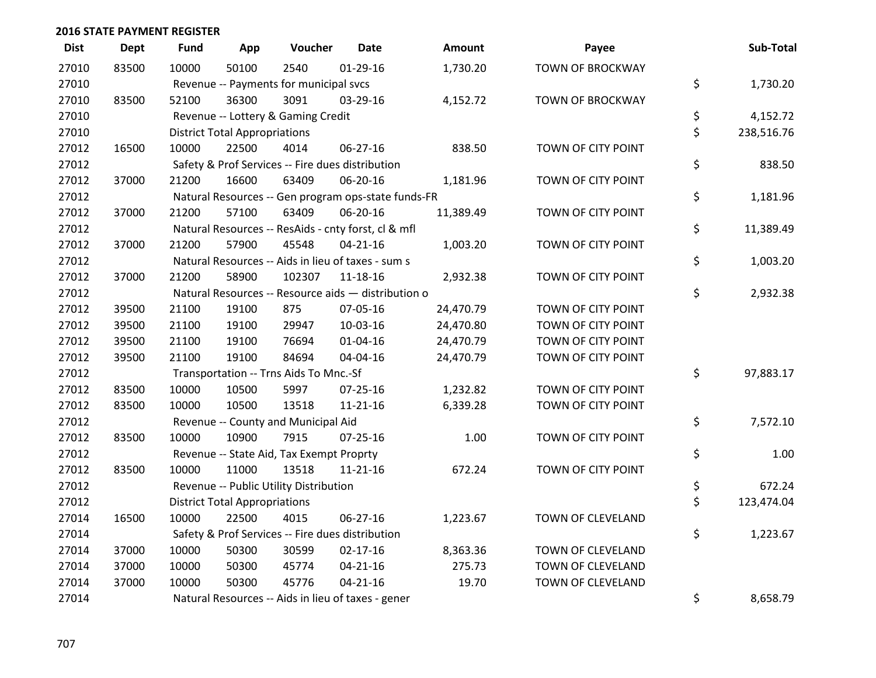| <b>Dist</b> | <b>Dept</b> | <b>Fund</b> | App                                  | Voucher                                  | <b>Date</b>                                         | <b>Amount</b> | Payee                   | Sub-Total        |
|-------------|-------------|-------------|--------------------------------------|------------------------------------------|-----------------------------------------------------|---------------|-------------------------|------------------|
| 27010       | 83500       | 10000       | 50100                                | 2540                                     | $01-29-16$                                          | 1,730.20      | <b>TOWN OF BROCKWAY</b> |                  |
| 27010       |             |             |                                      | Revenue -- Payments for municipal svcs   |                                                     |               |                         | \$<br>1,730.20   |
| 27010       | 83500       | 52100       | 36300                                | 3091                                     | 03-29-16                                            | 4,152.72      | <b>TOWN OF BROCKWAY</b> |                  |
| 27010       |             |             |                                      | Revenue -- Lottery & Gaming Credit       |                                                     |               |                         | \$<br>4,152.72   |
| 27010       |             |             | <b>District Total Appropriations</b> |                                          |                                                     |               |                         | \$<br>238,516.76 |
| 27012       | 16500       | 10000       | 22500                                | 4014                                     | 06-27-16                                            | 838.50        | TOWN OF CITY POINT      |                  |
| 27012       |             |             |                                      |                                          | Safety & Prof Services -- Fire dues distribution    |               |                         | \$<br>838.50     |
| 27012       | 37000       | 21200       | 16600                                | 63409                                    | 06-20-16                                            | 1,181.96      | TOWN OF CITY POINT      |                  |
| 27012       |             |             |                                      |                                          | Natural Resources -- Gen program ops-state funds-FR |               |                         | \$<br>1,181.96   |
| 27012       | 37000       | 21200       | 57100                                | 63409                                    | 06-20-16                                            | 11,389.49     | TOWN OF CITY POINT      |                  |
| 27012       |             |             |                                      |                                          | Natural Resources -- ResAids - cnty forst, cl & mfl |               |                         | \$<br>11,389.49  |
| 27012       | 37000       | 21200       | 57900                                | 45548                                    | $04 - 21 - 16$                                      | 1,003.20      | TOWN OF CITY POINT      |                  |
| 27012       |             |             |                                      |                                          | Natural Resources -- Aids in lieu of taxes - sum s  |               |                         | \$<br>1,003.20   |
| 27012       | 37000       | 21200       | 58900                                | 102307                                   | 11-18-16                                            | 2,932.38      | TOWN OF CITY POINT      |                  |
| 27012       |             |             |                                      |                                          | Natural Resources -- Resource aids - distribution o |               |                         | \$<br>2,932.38   |
| 27012       | 39500       | 21100       | 19100                                | 875                                      | 07-05-16                                            | 24,470.79     | TOWN OF CITY POINT      |                  |
| 27012       | 39500       | 21100       | 19100                                | 29947                                    | 10-03-16                                            | 24,470.80     | TOWN OF CITY POINT      |                  |
| 27012       | 39500       | 21100       | 19100                                | 76694                                    | $01 - 04 - 16$                                      | 24,470.79     | TOWN OF CITY POINT      |                  |
| 27012       | 39500       | 21100       | 19100                                | 84694                                    | 04-04-16                                            | 24,470.79     | TOWN OF CITY POINT      |                  |
| 27012       |             |             |                                      | Transportation -- Trns Aids To Mnc.-Sf   |                                                     |               |                         | \$<br>97,883.17  |
| 27012       | 83500       | 10000       | 10500                                | 5997                                     | $07 - 25 - 16$                                      | 1,232.82      | TOWN OF CITY POINT      |                  |
| 27012       | 83500       | 10000       | 10500                                | 13518                                    | $11 - 21 - 16$                                      | 6,339.28      | TOWN OF CITY POINT      |                  |
| 27012       |             |             |                                      | Revenue -- County and Municipal Aid      |                                                     |               |                         | \$<br>7,572.10   |
| 27012       | 83500       | 10000       | 10900                                | 7915                                     | $07 - 25 - 16$                                      | 1.00          | TOWN OF CITY POINT      |                  |
| 27012       |             |             |                                      | Revenue -- State Aid, Tax Exempt Proprty |                                                     |               |                         | \$<br>1.00       |
| 27012       | 83500       | 10000       | 11000                                | 13518                                    | $11 - 21 - 16$                                      | 672.24        | TOWN OF CITY POINT      |                  |
| 27012       |             |             |                                      | Revenue -- Public Utility Distribution   |                                                     |               |                         | \$<br>672.24     |
| 27012       |             |             | <b>District Total Appropriations</b> |                                          |                                                     |               |                         | \$<br>123,474.04 |
| 27014       | 16500       | 10000       | 22500                                | 4015                                     | 06-27-16                                            | 1,223.67      | TOWN OF CLEVELAND       |                  |
| 27014       |             |             |                                      |                                          | Safety & Prof Services -- Fire dues distribution    |               |                         | \$<br>1,223.67   |
| 27014       | 37000       | 10000       | 50300                                | 30599                                    | $02 - 17 - 16$                                      | 8,363.36      | TOWN OF CLEVELAND       |                  |
| 27014       | 37000       | 10000       | 50300                                | 45774                                    | $04 - 21 - 16$                                      | 275.73        | TOWN OF CLEVELAND       |                  |
| 27014       | 37000       | 10000       | 50300                                | 45776                                    | $04 - 21 - 16$                                      | 19.70         | TOWN OF CLEVELAND       |                  |
| 27014       |             |             |                                      |                                          | Natural Resources -- Aids in lieu of taxes - gener  |               |                         | \$<br>8,658.79   |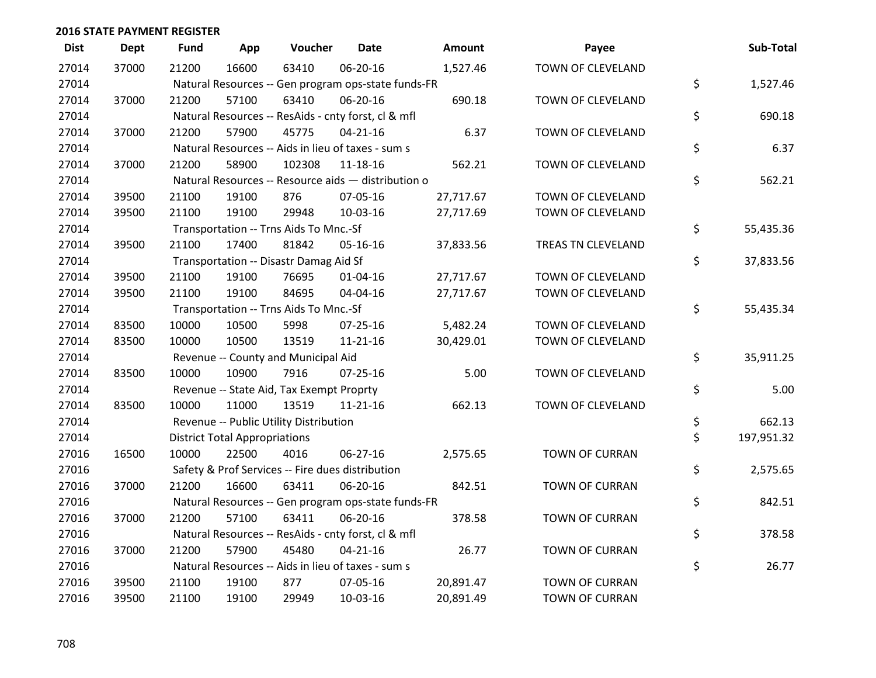| <b>Dist</b> | <b>Dept</b> | <b>Fund</b> | App                                  | Voucher                                             | <b>Date</b>    | <b>Amount</b> | Payee                 | Sub-Total        |
|-------------|-------------|-------------|--------------------------------------|-----------------------------------------------------|----------------|---------------|-----------------------|------------------|
| 27014       | 37000       | 21200       | 16600                                | 63410                                               | 06-20-16       | 1,527.46      | TOWN OF CLEVELAND     |                  |
| 27014       |             |             |                                      | Natural Resources -- Gen program ops-state funds-FR |                |               |                       | \$<br>1,527.46   |
| 27014       | 37000       | 21200       | 57100                                | 63410                                               | 06-20-16       | 690.18        | TOWN OF CLEVELAND     |                  |
| 27014       |             |             |                                      | Natural Resources -- ResAids - cnty forst, cl & mfl |                |               |                       | \$<br>690.18     |
| 27014       | 37000       | 21200       | 57900                                | 45775                                               | $04 - 21 - 16$ | 6.37          | TOWN OF CLEVELAND     |                  |
| 27014       |             |             |                                      | Natural Resources -- Aids in lieu of taxes - sum s  |                |               |                       | \$<br>6.37       |
| 27014       | 37000       | 21200       | 58900                                | 102308                                              | 11-18-16       | 562.21        | TOWN OF CLEVELAND     |                  |
| 27014       |             |             |                                      | Natural Resources -- Resource aids - distribution o |                |               |                       | \$<br>562.21     |
| 27014       | 39500       | 21100       | 19100                                | 876                                                 | 07-05-16       | 27,717.67     | TOWN OF CLEVELAND     |                  |
| 27014       | 39500       | 21100       | 19100                                | 29948                                               | 10-03-16       | 27,717.69     | TOWN OF CLEVELAND     |                  |
| 27014       |             |             |                                      | Transportation -- Trns Aids To Mnc.-Sf              |                |               |                       | \$<br>55,435.36  |
| 27014       | 39500       | 21100       | 17400                                | 81842                                               | 05-16-16       | 37,833.56     | TREAS TN CLEVELAND    |                  |
| 27014       |             |             |                                      | Transportation -- Disastr Damag Aid Sf              |                |               |                       | \$<br>37,833.56  |
| 27014       | 39500       | 21100       | 19100                                | 76695                                               | $01 - 04 - 16$ | 27,717.67     | TOWN OF CLEVELAND     |                  |
| 27014       | 39500       | 21100       | 19100                                | 84695                                               | 04-04-16       | 27,717.67     | TOWN OF CLEVELAND     |                  |
| 27014       |             |             |                                      | Transportation -- Trns Aids To Mnc.-Sf              |                |               |                       | \$<br>55,435.34  |
| 27014       | 83500       | 10000       | 10500                                | 5998                                                | $07 - 25 - 16$ | 5,482.24      | TOWN OF CLEVELAND     |                  |
| 27014       | 83500       | 10000       | 10500                                | 13519                                               | $11 - 21 - 16$ | 30,429.01     | TOWN OF CLEVELAND     |                  |
| 27014       |             |             |                                      | Revenue -- County and Municipal Aid                 |                |               |                       | \$<br>35,911.25  |
| 27014       | 83500       | 10000       | 10900                                | 7916                                                | $07 - 25 - 16$ | 5.00          | TOWN OF CLEVELAND     |                  |
| 27014       |             |             |                                      | Revenue -- State Aid, Tax Exempt Proprty            |                |               |                       | \$<br>5.00       |
| 27014       | 83500       | 10000       | 11000                                | 13519                                               | $11 - 21 - 16$ | 662.13        | TOWN OF CLEVELAND     |                  |
| 27014       |             |             |                                      | Revenue -- Public Utility Distribution              |                |               |                       | \$<br>662.13     |
| 27014       |             |             | <b>District Total Appropriations</b> |                                                     |                |               |                       | \$<br>197,951.32 |
| 27016       | 16500       | 10000       | 22500                                | 4016                                                | 06-27-16       | 2,575.65      | <b>TOWN OF CURRAN</b> |                  |
| 27016       |             |             |                                      | Safety & Prof Services -- Fire dues distribution    |                |               |                       | \$<br>2,575.65   |
| 27016       | 37000       | 21200       | 16600                                | 63411                                               | 06-20-16       | 842.51        | <b>TOWN OF CURRAN</b> |                  |
| 27016       |             |             |                                      | Natural Resources -- Gen program ops-state funds-FR |                |               |                       | \$<br>842.51     |
| 27016       | 37000       | 21200       | 57100                                | 63411                                               | 06-20-16       | 378.58        | <b>TOWN OF CURRAN</b> |                  |
| 27016       |             |             |                                      | Natural Resources -- ResAids - cnty forst, cl & mfl |                |               |                       | \$<br>378.58     |
| 27016       | 37000       | 21200       | 57900                                | 45480                                               | $04 - 21 - 16$ | 26.77         | <b>TOWN OF CURRAN</b> |                  |
| 27016       |             |             |                                      | Natural Resources -- Aids in lieu of taxes - sum s  |                |               |                       | \$<br>26.77      |
| 27016       | 39500       | 21100       | 19100                                | 877                                                 | 07-05-16       | 20,891.47     | <b>TOWN OF CURRAN</b> |                  |
| 27016       | 39500       | 21100       | 19100                                | 29949                                               | 10-03-16       | 20,891.49     | <b>TOWN OF CURRAN</b> |                  |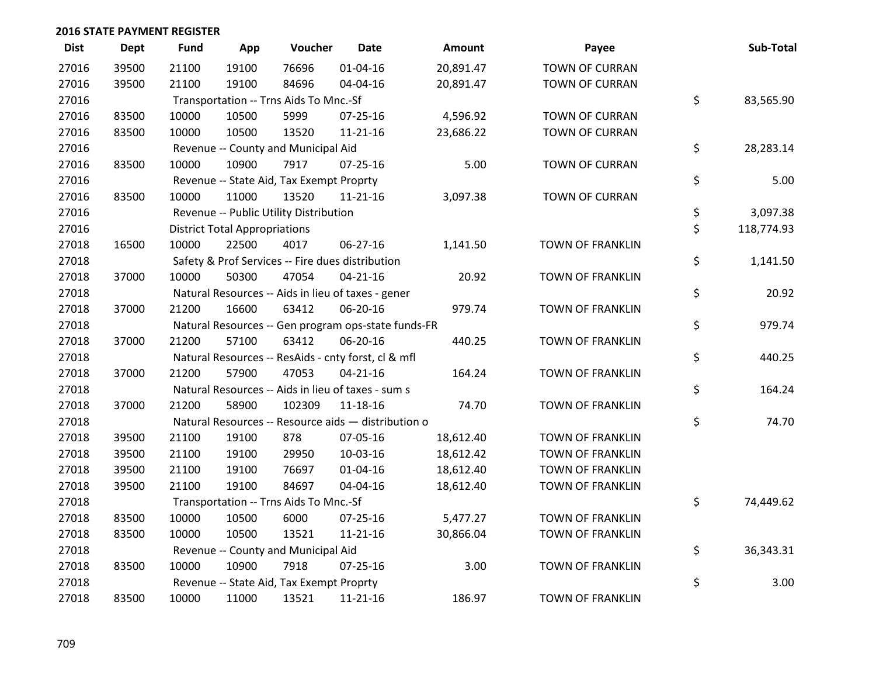| <b>Dist</b> | <b>Dept</b> | <b>Fund</b> | App                                  | Voucher                                  | <b>Date</b>                                         | <b>Amount</b> | Payee                   | Sub-Total        |
|-------------|-------------|-------------|--------------------------------------|------------------------------------------|-----------------------------------------------------|---------------|-------------------------|------------------|
| 27016       | 39500       | 21100       | 19100                                | 76696                                    | $01 - 04 - 16$                                      | 20,891.47     | <b>TOWN OF CURRAN</b>   |                  |
| 27016       | 39500       | 21100       | 19100                                | 84696                                    | 04-04-16                                            | 20,891.47     | <b>TOWN OF CURRAN</b>   |                  |
| 27016       |             |             |                                      | Transportation -- Trns Aids To Mnc.-Sf   |                                                     |               |                         | \$<br>83,565.90  |
| 27016       | 83500       | 10000       | 10500                                | 5999                                     | 07-25-16                                            | 4,596.92      | <b>TOWN OF CURRAN</b>   |                  |
| 27016       | 83500       | 10000       | 10500                                | 13520                                    | $11 - 21 - 16$                                      | 23,686.22     | <b>TOWN OF CURRAN</b>   |                  |
| 27016       |             |             |                                      | Revenue -- County and Municipal Aid      |                                                     |               |                         | \$<br>28,283.14  |
| 27016       | 83500       | 10000       | 10900                                | 7917                                     | $07 - 25 - 16$                                      | 5.00          | <b>TOWN OF CURRAN</b>   |                  |
| 27016       |             |             |                                      | Revenue -- State Aid, Tax Exempt Proprty |                                                     |               |                         | \$<br>5.00       |
| 27016       | 83500       | 10000       | 11000                                | 13520                                    | $11 - 21 - 16$                                      | 3,097.38      | <b>TOWN OF CURRAN</b>   |                  |
| 27016       |             |             |                                      | Revenue -- Public Utility Distribution   |                                                     |               |                         | \$<br>3,097.38   |
| 27016       |             |             | <b>District Total Appropriations</b> |                                          |                                                     |               |                         | \$<br>118,774.93 |
| 27018       | 16500       | 10000       | 22500                                | 4017                                     | 06-27-16                                            | 1,141.50      | <b>TOWN OF FRANKLIN</b> |                  |
| 27018       |             |             |                                      |                                          | Safety & Prof Services -- Fire dues distribution    |               |                         | \$<br>1,141.50   |
| 27018       | 37000       | 10000       | 50300                                | 47054                                    | $04 - 21 - 16$                                      | 20.92         | <b>TOWN OF FRANKLIN</b> |                  |
| 27018       |             |             |                                      |                                          | Natural Resources -- Aids in lieu of taxes - gener  |               |                         | \$<br>20.92      |
| 27018       | 37000       | 21200       | 16600                                | 63412                                    | 06-20-16                                            | 979.74        | <b>TOWN OF FRANKLIN</b> |                  |
| 27018       |             |             |                                      |                                          | Natural Resources -- Gen program ops-state funds-FR |               |                         | \$<br>979.74     |
| 27018       | 37000       | 21200       | 57100                                | 63412                                    | 06-20-16                                            | 440.25        | <b>TOWN OF FRANKLIN</b> |                  |
| 27018       |             |             |                                      |                                          | Natural Resources -- ResAids - cnty forst, cl & mfl |               |                         | \$<br>440.25     |
| 27018       | 37000       | 21200       | 57900                                | 47053                                    | $04 - 21 - 16$                                      | 164.24        | <b>TOWN OF FRANKLIN</b> |                  |
| 27018       |             |             |                                      |                                          | Natural Resources -- Aids in lieu of taxes - sum s  |               |                         | \$<br>164.24     |
| 27018       | 37000       | 21200       | 58900                                | 102309                                   | $11 - 18 - 16$                                      | 74.70         | <b>TOWN OF FRANKLIN</b> |                  |
| 27018       |             |             |                                      |                                          | Natural Resources -- Resource aids - distribution o |               |                         | \$<br>74.70      |
| 27018       | 39500       | 21100       | 19100                                | 878                                      | 07-05-16                                            | 18,612.40     | <b>TOWN OF FRANKLIN</b> |                  |
| 27018       | 39500       | 21100       | 19100                                | 29950                                    | 10-03-16                                            | 18,612.42     | <b>TOWN OF FRANKLIN</b> |                  |
| 27018       | 39500       | 21100       | 19100                                | 76697                                    | 01-04-16                                            | 18,612.40     | <b>TOWN OF FRANKLIN</b> |                  |
| 27018       | 39500       | 21100       | 19100                                | 84697                                    | 04-04-16                                            | 18,612.40     | <b>TOWN OF FRANKLIN</b> |                  |
| 27018       |             |             |                                      | Transportation -- Trns Aids To Mnc.-Sf   |                                                     |               |                         | \$<br>74,449.62  |
| 27018       | 83500       | 10000       | 10500                                | 6000                                     | 07-25-16                                            | 5,477.27      | <b>TOWN OF FRANKLIN</b> |                  |
| 27018       | 83500       | 10000       | 10500                                | 13521                                    | $11 - 21 - 16$                                      | 30,866.04     | <b>TOWN OF FRANKLIN</b> |                  |
| 27018       |             |             |                                      | Revenue -- County and Municipal Aid      |                                                     |               |                         | \$<br>36,343.31  |
| 27018       | 83500       | 10000       | 10900                                | 7918                                     | $07 - 25 - 16$                                      | 3.00          | <b>TOWN OF FRANKLIN</b> |                  |
| 27018       |             |             |                                      | Revenue -- State Aid, Tax Exempt Proprty |                                                     |               |                         | \$<br>3.00       |
| 27018       | 83500       | 10000       | 11000                                | 13521                                    | $11 - 21 - 16$                                      | 186.97        | TOWN OF FRANKLIN        |                  |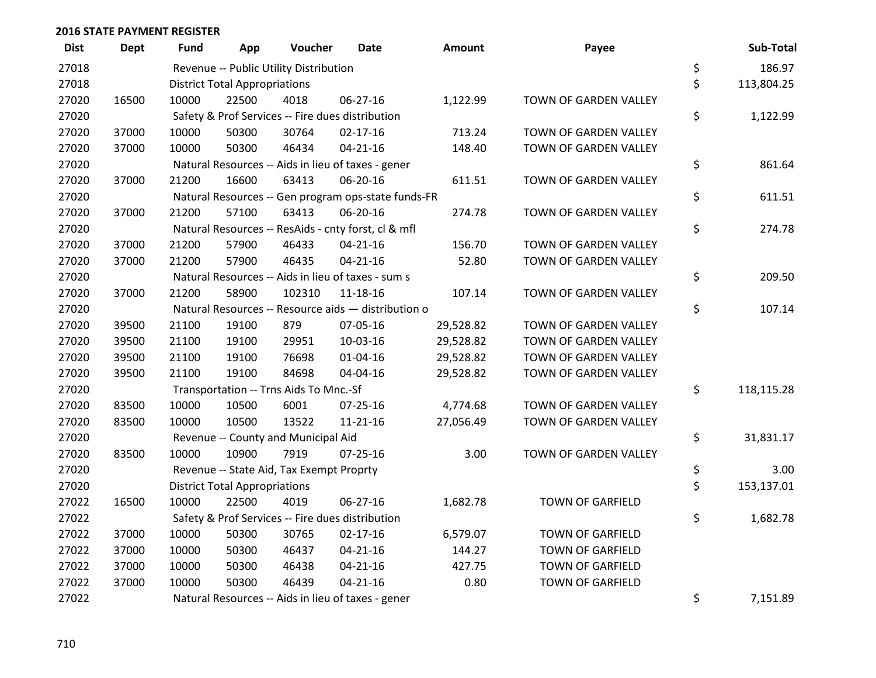| <b>Dist</b> | <b>Dept</b> | <b>Fund</b> | App                                  | Voucher                                  | <b>Date</b>                                         | Amount    | Payee                   | Sub-Total        |
|-------------|-------------|-------------|--------------------------------------|------------------------------------------|-----------------------------------------------------|-----------|-------------------------|------------------|
| 27018       |             |             |                                      | Revenue -- Public Utility Distribution   |                                                     |           |                         | \$<br>186.97     |
| 27018       |             |             | <b>District Total Appropriations</b> |                                          |                                                     |           |                         | \$<br>113,804.25 |
| 27020       | 16500       | 10000       | 22500                                | 4018                                     | 06-27-16                                            | 1,122.99  | TOWN OF GARDEN VALLEY   |                  |
| 27020       |             |             |                                      |                                          | Safety & Prof Services -- Fire dues distribution    |           |                         | \$<br>1,122.99   |
| 27020       | 37000       | 10000       | 50300                                | 30764                                    | $02 - 17 - 16$                                      | 713.24    | TOWN OF GARDEN VALLEY   |                  |
| 27020       | 37000       | 10000       | 50300                                | 46434                                    | $04 - 21 - 16$                                      | 148.40    | TOWN OF GARDEN VALLEY   |                  |
| 27020       |             |             |                                      |                                          | Natural Resources -- Aids in lieu of taxes - gener  |           |                         | \$<br>861.64     |
| 27020       | 37000       | 21200       | 16600                                | 63413                                    | 06-20-16                                            | 611.51    | TOWN OF GARDEN VALLEY   |                  |
| 27020       |             |             |                                      |                                          | Natural Resources -- Gen program ops-state funds-FR |           |                         | \$<br>611.51     |
| 27020       | 37000       | 21200       | 57100                                | 63413                                    | 06-20-16                                            | 274.78    | TOWN OF GARDEN VALLEY   |                  |
| 27020       |             |             |                                      |                                          | Natural Resources -- ResAids - cnty forst, cl & mfl |           |                         | \$<br>274.78     |
| 27020       | 37000       | 21200       | 57900                                | 46433                                    | $04 - 21 - 16$                                      | 156.70    | TOWN OF GARDEN VALLEY   |                  |
| 27020       | 37000       | 21200       | 57900                                | 46435                                    | $04 - 21 - 16$                                      | 52.80     | TOWN OF GARDEN VALLEY   |                  |
| 27020       |             |             |                                      |                                          | Natural Resources -- Aids in lieu of taxes - sum s  |           |                         | \$<br>209.50     |
| 27020       | 37000       | 21200       | 58900                                | 102310                                   | $11 - 18 - 16$                                      | 107.14    | TOWN OF GARDEN VALLEY   |                  |
| 27020       |             |             |                                      |                                          | Natural Resources -- Resource aids - distribution o |           |                         | \$<br>107.14     |
| 27020       | 39500       | 21100       | 19100                                | 879                                      | 07-05-16                                            | 29,528.82 | TOWN OF GARDEN VALLEY   |                  |
| 27020       | 39500       | 21100       | 19100                                | 29951                                    | 10-03-16                                            | 29,528.82 | TOWN OF GARDEN VALLEY   |                  |
| 27020       | 39500       | 21100       | 19100                                | 76698                                    | 01-04-16                                            | 29,528.82 | TOWN OF GARDEN VALLEY   |                  |
| 27020       | 39500       | 21100       | 19100                                | 84698                                    | 04-04-16                                            | 29,528.82 | TOWN OF GARDEN VALLEY   |                  |
| 27020       |             |             |                                      | Transportation -- Trns Aids To Mnc.-Sf   |                                                     |           |                         | \$<br>118,115.28 |
| 27020       | 83500       | 10000       | 10500                                | 6001                                     | $07 - 25 - 16$                                      | 4,774.68  | TOWN OF GARDEN VALLEY   |                  |
| 27020       | 83500       | 10000       | 10500                                | 13522                                    | 11-21-16                                            | 27,056.49 | TOWN OF GARDEN VALLEY   |                  |
| 27020       |             |             |                                      | Revenue -- County and Municipal Aid      |                                                     |           |                         | \$<br>31,831.17  |
| 27020       | 83500       | 10000       | 10900                                | 7919                                     | $07 - 25 - 16$                                      | 3.00      | TOWN OF GARDEN VALLEY   |                  |
| 27020       |             |             |                                      | Revenue -- State Aid, Tax Exempt Proprty |                                                     |           |                         | \$<br>3.00       |
| 27020       |             |             | <b>District Total Appropriations</b> |                                          |                                                     |           |                         | \$<br>153,137.01 |
| 27022       | 16500       | 10000       | 22500                                | 4019                                     | 06-27-16                                            | 1,682.78  | <b>TOWN OF GARFIELD</b> |                  |
| 27022       |             |             |                                      |                                          | Safety & Prof Services -- Fire dues distribution    |           |                         | \$<br>1,682.78   |
| 27022       | 37000       | 10000       | 50300                                | 30765                                    | $02 - 17 - 16$                                      | 6,579.07  | <b>TOWN OF GARFIELD</b> |                  |
| 27022       | 37000       | 10000       | 50300                                | 46437                                    | $04 - 21 - 16$                                      | 144.27    | <b>TOWN OF GARFIELD</b> |                  |
| 27022       | 37000       | 10000       | 50300                                | 46438                                    | $04 - 21 - 16$                                      | 427.75    | TOWN OF GARFIELD        |                  |
| 27022       | 37000       | 10000       | 50300                                | 46439                                    | $04 - 21 - 16$                                      | 0.80      | <b>TOWN OF GARFIELD</b> |                  |
| 27022       |             |             |                                      |                                          | Natural Resources -- Aids in lieu of taxes - gener  |           |                         | \$<br>7,151.89   |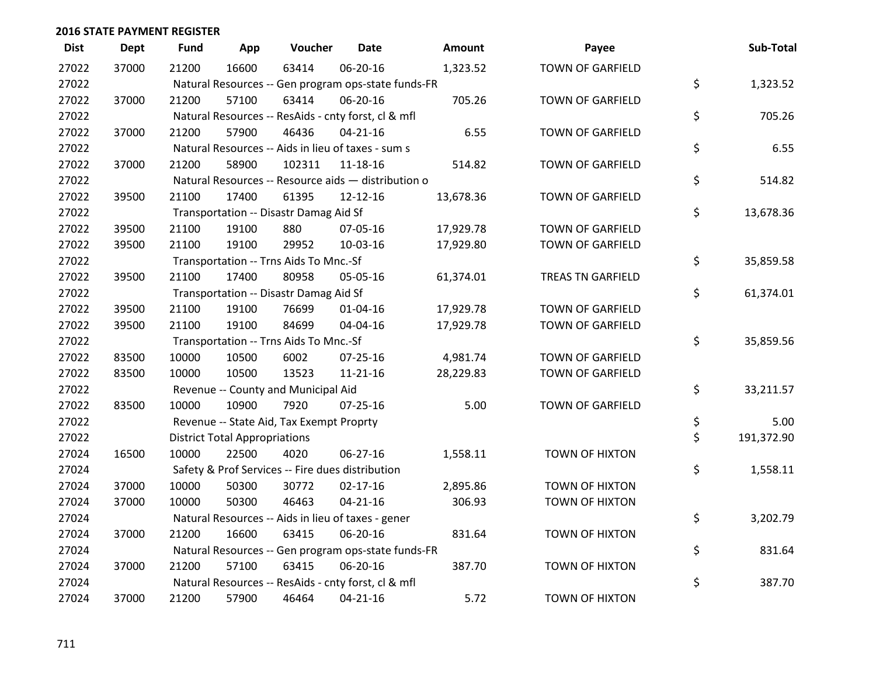| <b>Dist</b> | <b>Dept</b> | <b>Fund</b> | App                                  | Voucher                                             | Date           | <b>Amount</b> | Payee                    | Sub-Total        |
|-------------|-------------|-------------|--------------------------------------|-----------------------------------------------------|----------------|---------------|--------------------------|------------------|
| 27022       | 37000       | 21200       | 16600                                | 63414                                               | 06-20-16       | 1,323.52      | <b>TOWN OF GARFIELD</b>  |                  |
| 27022       |             |             |                                      | Natural Resources -- Gen program ops-state funds-FR |                |               |                          | \$<br>1,323.52   |
| 27022       | 37000       | 21200       | 57100                                | 63414                                               | 06-20-16       | 705.26        | <b>TOWN OF GARFIELD</b>  |                  |
| 27022       |             |             |                                      | Natural Resources -- ResAids - cnty forst, cl & mfl |                |               |                          | \$<br>705.26     |
| 27022       | 37000       | 21200       | 57900                                | 46436                                               | $04 - 21 - 16$ | 6.55          | <b>TOWN OF GARFIELD</b>  |                  |
| 27022       |             |             |                                      | Natural Resources -- Aids in lieu of taxes - sum s  |                |               |                          | \$<br>6.55       |
| 27022       | 37000       | 21200       | 58900                                | 102311                                              | 11-18-16       | 514.82        | <b>TOWN OF GARFIELD</b>  |                  |
| 27022       |             |             |                                      | Natural Resources -- Resource aids - distribution o |                |               |                          | \$<br>514.82     |
| 27022       | 39500       | 21100       | 17400                                | 61395                                               | $12 - 12 - 16$ | 13,678.36     | <b>TOWN OF GARFIELD</b>  |                  |
| 27022       |             |             |                                      | Transportation -- Disastr Damag Aid Sf              |                |               |                          | \$<br>13,678.36  |
| 27022       | 39500       | 21100       | 19100                                | 880                                                 | 07-05-16       | 17,929.78     | TOWN OF GARFIELD         |                  |
| 27022       | 39500       | 21100       | 19100                                | 29952                                               | 10-03-16       | 17,929.80     | TOWN OF GARFIELD         |                  |
| 27022       |             |             |                                      | Transportation -- Trns Aids To Mnc.-Sf              |                |               |                          | \$<br>35,859.58  |
| 27022       | 39500       | 21100       | 17400                                | 80958                                               | 05-05-16       | 61,374.01     | <b>TREAS TN GARFIELD</b> |                  |
| 27022       |             |             |                                      | Transportation -- Disastr Damag Aid Sf              |                |               |                          | \$<br>61,374.01  |
| 27022       | 39500       | 21100       | 19100                                | 76699                                               | 01-04-16       | 17,929.78     | TOWN OF GARFIELD         |                  |
| 27022       | 39500       | 21100       | 19100                                | 84699                                               | 04-04-16       | 17,929.78     | <b>TOWN OF GARFIELD</b>  |                  |
| 27022       |             |             |                                      | Transportation -- Trns Aids To Mnc.-Sf              |                |               |                          | \$<br>35,859.56  |
| 27022       | 83500       | 10000       | 10500                                | 6002                                                | $07 - 25 - 16$ | 4,981.74      | <b>TOWN OF GARFIELD</b>  |                  |
| 27022       | 83500       | 10000       | 10500                                | 13523                                               | $11 - 21 - 16$ | 28,229.83     | TOWN OF GARFIELD         |                  |
| 27022       |             |             |                                      | Revenue -- County and Municipal Aid                 |                |               |                          | \$<br>33,211.57  |
| 27022       | 83500       | 10000       | 10900                                | 7920                                                | $07 - 25 - 16$ | 5.00          | <b>TOWN OF GARFIELD</b>  |                  |
| 27022       |             |             |                                      | Revenue -- State Aid, Tax Exempt Proprty            |                |               |                          | \$<br>5.00       |
| 27022       |             |             | <b>District Total Appropriations</b> |                                                     |                |               |                          | \$<br>191,372.90 |
| 27024       | 16500       | 10000       | 22500                                | 4020                                                | 06-27-16       | 1,558.11      | TOWN OF HIXTON           |                  |
| 27024       |             |             |                                      | Safety & Prof Services -- Fire dues distribution    |                |               |                          | \$<br>1,558.11   |
| 27024       | 37000       | 10000       | 50300                                | 30772                                               | $02 - 17 - 16$ | 2,895.86      | <b>TOWN OF HIXTON</b>    |                  |
| 27024       | 37000       | 10000       | 50300                                | 46463                                               | $04 - 21 - 16$ | 306.93        | TOWN OF HIXTON           |                  |
| 27024       |             |             |                                      | Natural Resources -- Aids in lieu of taxes - gener  |                |               |                          | \$<br>3,202.79   |
| 27024       | 37000       | 21200       | 16600                                | 63415                                               | 06-20-16       | 831.64        | TOWN OF HIXTON           |                  |
| 27024       |             |             |                                      | Natural Resources -- Gen program ops-state funds-FR |                |               |                          | \$<br>831.64     |
| 27024       | 37000       | 21200       | 57100                                | 63415                                               | 06-20-16       | 387.70        | <b>TOWN OF HIXTON</b>    |                  |
| 27024       |             |             |                                      | Natural Resources -- ResAids - cnty forst, cl & mfl |                |               |                          | \$<br>387.70     |
| 27024       | 37000       | 21200       | 57900                                | 46464                                               | $04 - 21 - 16$ | 5.72          | <b>TOWN OF HIXTON</b>    |                  |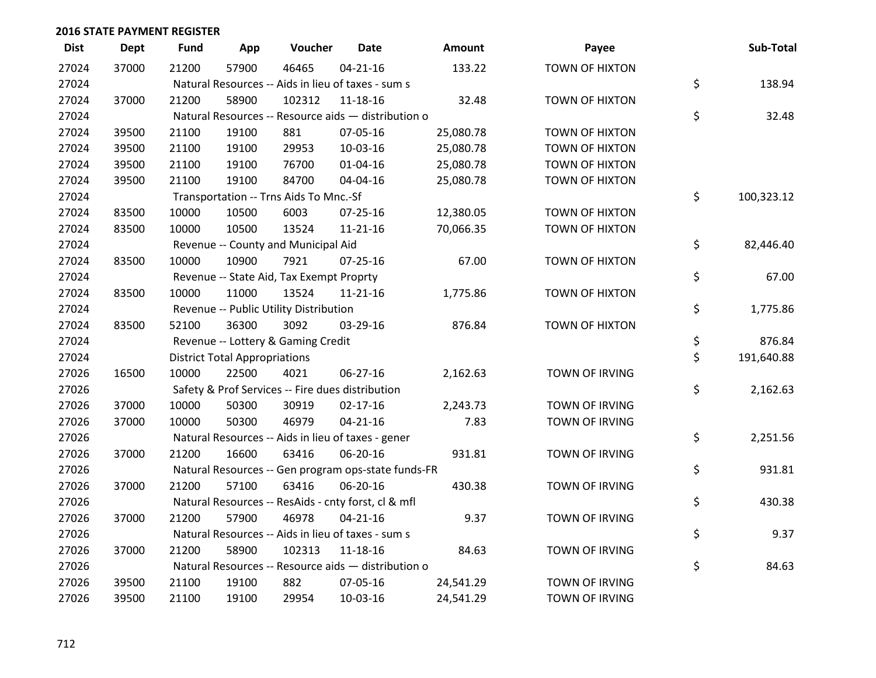| <b>Dist</b> | <b>Dept</b> | <b>Fund</b> | App                                  | Voucher                                             | <b>Date</b>    | Amount    | Payee                 | Sub-Total        |
|-------------|-------------|-------------|--------------------------------------|-----------------------------------------------------|----------------|-----------|-----------------------|------------------|
| 27024       | 37000       | 21200       | 57900                                | 46465                                               | $04 - 21 - 16$ | 133.22    | <b>TOWN OF HIXTON</b> |                  |
| 27024       |             |             |                                      | Natural Resources -- Aids in lieu of taxes - sum s  |                |           |                       | \$<br>138.94     |
| 27024       | 37000       | 21200       | 58900                                | 102312                                              | 11-18-16       | 32.48     | <b>TOWN OF HIXTON</b> |                  |
| 27024       |             |             |                                      | Natural Resources -- Resource aids - distribution o |                |           |                       | \$<br>32.48      |
| 27024       | 39500       | 21100       | 19100                                | 881                                                 | 07-05-16       | 25,080.78 | TOWN OF HIXTON        |                  |
| 27024       | 39500       | 21100       | 19100                                | 29953                                               | 10-03-16       | 25,080.78 | TOWN OF HIXTON        |                  |
| 27024       | 39500       | 21100       | 19100                                | 76700                                               | $01 - 04 - 16$ | 25,080.78 | TOWN OF HIXTON        |                  |
| 27024       | 39500       | 21100       | 19100                                | 84700                                               | 04-04-16       | 25,080.78 | TOWN OF HIXTON        |                  |
| 27024       |             |             |                                      | Transportation -- Trns Aids To Mnc.-Sf              |                |           |                       | \$<br>100,323.12 |
| 27024       | 83500       | 10000       | 10500                                | 6003                                                | $07 - 25 - 16$ | 12,380.05 | TOWN OF HIXTON        |                  |
| 27024       | 83500       | 10000       | 10500                                | 13524                                               | 11-21-16       | 70,066.35 | <b>TOWN OF HIXTON</b> |                  |
| 27024       |             |             |                                      | Revenue -- County and Municipal Aid                 |                |           |                       | \$<br>82,446.40  |
| 27024       | 83500       | 10000       | 10900                                | 7921                                                | $07 - 25 - 16$ | 67.00     | <b>TOWN OF HIXTON</b> |                  |
| 27024       |             |             |                                      | Revenue -- State Aid, Tax Exempt Proprty            |                |           |                       | \$<br>67.00      |
| 27024       | 83500       | 10000       | 11000                                | 13524                                               | 11-21-16       | 1,775.86  | <b>TOWN OF HIXTON</b> |                  |
| 27024       |             |             |                                      | Revenue -- Public Utility Distribution              |                |           |                       | \$<br>1,775.86   |
| 27024       | 83500       | 52100       | 36300                                | 3092                                                | 03-29-16       | 876.84    | <b>TOWN OF HIXTON</b> |                  |
| 27024       |             |             |                                      | Revenue -- Lottery & Gaming Credit                  |                |           |                       | \$<br>876.84     |
| 27024       |             |             | <b>District Total Appropriations</b> |                                                     |                |           |                       | \$<br>191,640.88 |
| 27026       | 16500       | 10000       | 22500                                | 4021                                                | 06-27-16       | 2,162.63  | TOWN OF IRVING        |                  |
| 27026       |             |             |                                      | Safety & Prof Services -- Fire dues distribution    |                |           |                       | \$<br>2,162.63   |
| 27026       | 37000       | 10000       | 50300                                | 30919                                               | $02 - 17 - 16$ | 2,243.73  | TOWN OF IRVING        |                  |
| 27026       | 37000       | 10000       | 50300                                | 46979                                               | $04 - 21 - 16$ | 7.83      | TOWN OF IRVING        |                  |
| 27026       |             |             |                                      | Natural Resources -- Aids in lieu of taxes - gener  |                |           |                       | \$<br>2,251.56   |
| 27026       | 37000       | 21200       | 16600                                | 63416                                               | 06-20-16       | 931.81    | TOWN OF IRVING        |                  |
| 27026       |             |             |                                      | Natural Resources -- Gen program ops-state funds-FR |                |           |                       | \$<br>931.81     |
| 27026       | 37000       | 21200       | 57100                                | 63416                                               | 06-20-16       | 430.38    | TOWN OF IRVING        |                  |
| 27026       |             |             |                                      | Natural Resources -- ResAids - cnty forst, cl & mfl |                |           |                       | \$<br>430.38     |
| 27026       | 37000       | 21200       | 57900                                | 46978                                               | $04 - 21 - 16$ | 9.37      | TOWN OF IRVING        |                  |
| 27026       |             |             |                                      | Natural Resources -- Aids in lieu of taxes - sum s  |                |           |                       | \$<br>9.37       |
| 27026       | 37000       | 21200       | 58900                                | 102313                                              | 11-18-16       | 84.63     | TOWN OF IRVING        |                  |
| 27026       |             |             |                                      | Natural Resources -- Resource aids - distribution o |                |           |                       | \$<br>84.63      |
| 27026       | 39500       | 21100       | 19100                                | 882                                                 | 07-05-16       | 24,541.29 | TOWN OF IRVING        |                  |
| 27026       | 39500       | 21100       | 19100                                | 29954                                               | 10-03-16       | 24,541.29 | <b>TOWN OF IRVING</b> |                  |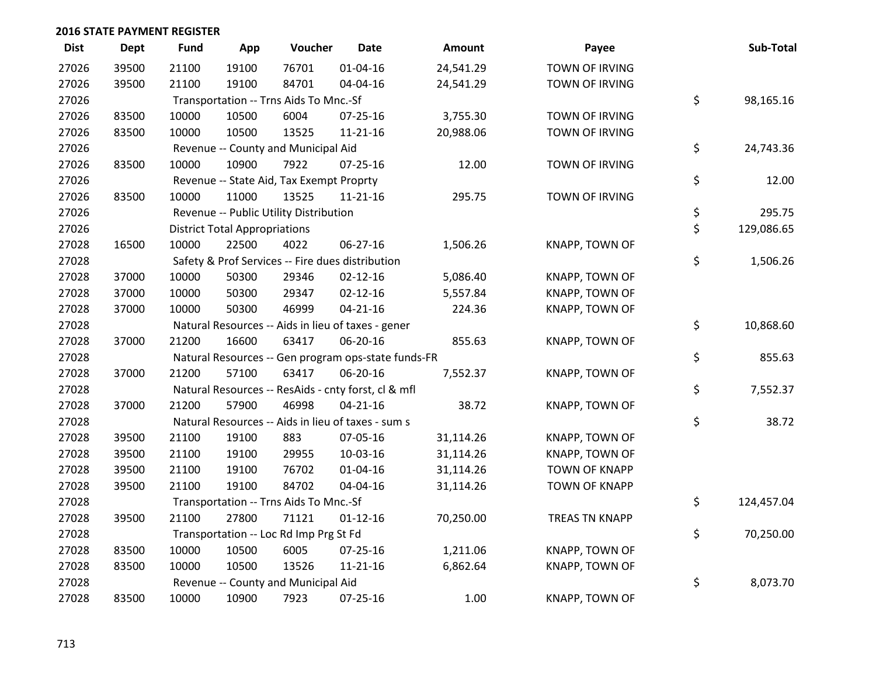| <b>Dist</b> | Dept  | <b>Fund</b> | App                                  | Voucher                                  | <b>Date</b>                                         | <b>Amount</b> | Payee                 | Sub-Total        |
|-------------|-------|-------------|--------------------------------------|------------------------------------------|-----------------------------------------------------|---------------|-----------------------|------------------|
| 27026       | 39500 | 21100       | 19100                                | 76701                                    | $01 - 04 - 16$                                      | 24,541.29     | TOWN OF IRVING        |                  |
| 27026       | 39500 | 21100       | 19100                                | 84701                                    | 04-04-16                                            | 24,541.29     | <b>TOWN OF IRVING</b> |                  |
| 27026       |       |             |                                      | Transportation -- Trns Aids To Mnc.-Sf   |                                                     |               |                       | \$<br>98,165.16  |
| 27026       | 83500 | 10000       | 10500                                | 6004                                     | 07-25-16                                            | 3,755.30      | <b>TOWN OF IRVING</b> |                  |
| 27026       | 83500 | 10000       | 10500                                | 13525                                    | $11 - 21 - 16$                                      | 20,988.06     | TOWN OF IRVING        |                  |
| 27026       |       |             |                                      | Revenue -- County and Municipal Aid      |                                                     |               |                       | \$<br>24,743.36  |
| 27026       | 83500 | 10000       | 10900                                | 7922                                     | 07-25-16                                            | 12.00         | TOWN OF IRVING        |                  |
| 27026       |       |             |                                      | Revenue -- State Aid, Tax Exempt Proprty |                                                     |               |                       | \$<br>12.00      |
| 27026       | 83500 | 10000       | 11000                                | 13525                                    | $11 - 21 - 16$                                      | 295.75        | TOWN OF IRVING        |                  |
| 27026       |       |             |                                      | Revenue -- Public Utility Distribution   |                                                     |               |                       | \$<br>295.75     |
| 27026       |       |             | <b>District Total Appropriations</b> |                                          |                                                     |               |                       | \$<br>129,086.65 |
| 27028       | 16500 | 10000       | 22500                                | 4022                                     | 06-27-16                                            | 1,506.26      | KNAPP, TOWN OF        |                  |
| 27028       |       |             |                                      |                                          | Safety & Prof Services -- Fire dues distribution    |               |                       | \$<br>1,506.26   |
| 27028       | 37000 | 10000       | 50300                                | 29346                                    | $02 - 12 - 16$                                      | 5,086.40      | KNAPP, TOWN OF        |                  |
| 27028       | 37000 | 10000       | 50300                                | 29347                                    | $02 - 12 - 16$                                      | 5,557.84      | KNAPP, TOWN OF        |                  |
| 27028       | 37000 | 10000       | 50300                                | 46999                                    | $04 - 21 - 16$                                      | 224.36        | KNAPP, TOWN OF        |                  |
| 27028       |       |             |                                      |                                          | Natural Resources -- Aids in lieu of taxes - gener  |               |                       | \$<br>10,868.60  |
| 27028       | 37000 | 21200       | 16600                                | 63417                                    | 06-20-16                                            | 855.63        | KNAPP, TOWN OF        |                  |
| 27028       |       |             |                                      |                                          | Natural Resources -- Gen program ops-state funds-FR |               |                       | \$<br>855.63     |
| 27028       | 37000 | 21200       | 57100                                | 63417                                    | 06-20-16                                            | 7,552.37      | KNAPP, TOWN OF        |                  |
| 27028       |       |             |                                      |                                          | Natural Resources -- ResAids - cnty forst, cl & mfl |               |                       | \$<br>7,552.37   |
| 27028       | 37000 | 21200       | 57900                                | 46998                                    | $04 - 21 - 16$                                      | 38.72         | KNAPP, TOWN OF        |                  |
| 27028       |       |             |                                      |                                          | Natural Resources -- Aids in lieu of taxes - sum s  |               |                       | \$<br>38.72      |
| 27028       | 39500 | 21100       | 19100                                | 883                                      | 07-05-16                                            | 31,114.26     | KNAPP, TOWN OF        |                  |
| 27028       | 39500 | 21100       | 19100                                | 29955                                    | 10-03-16                                            | 31,114.26     | KNAPP, TOWN OF        |                  |
| 27028       | 39500 | 21100       | 19100                                | 76702                                    | $01 - 04 - 16$                                      | 31,114.26     | <b>TOWN OF KNAPP</b>  |                  |
| 27028       | 39500 | 21100       | 19100                                | 84702                                    | 04-04-16                                            | 31,114.26     | <b>TOWN OF KNAPP</b>  |                  |
| 27028       |       |             |                                      | Transportation -- Trns Aids To Mnc.-Sf   |                                                     |               |                       | \$<br>124,457.04 |
| 27028       | 39500 | 21100       | 27800                                | 71121                                    | $01 - 12 - 16$                                      | 70,250.00     | <b>TREAS TN KNAPP</b> |                  |
| 27028       |       |             |                                      | Transportation -- Loc Rd Imp Prg St Fd   |                                                     |               |                       | \$<br>70,250.00  |
| 27028       | 83500 | 10000       | 10500                                | 6005                                     | 07-25-16                                            | 1,211.06      | KNAPP, TOWN OF        |                  |
| 27028       | 83500 | 10000       | 10500                                | 13526                                    | 11-21-16                                            | 6,862.64      | KNAPP, TOWN OF        |                  |
| 27028       |       |             |                                      | Revenue -- County and Municipal Aid      |                                                     |               |                       | \$<br>8,073.70   |
| 27028       | 83500 | 10000       | 10900                                | 7923                                     | 07-25-16                                            | 1.00          | KNAPP, TOWN OF        |                  |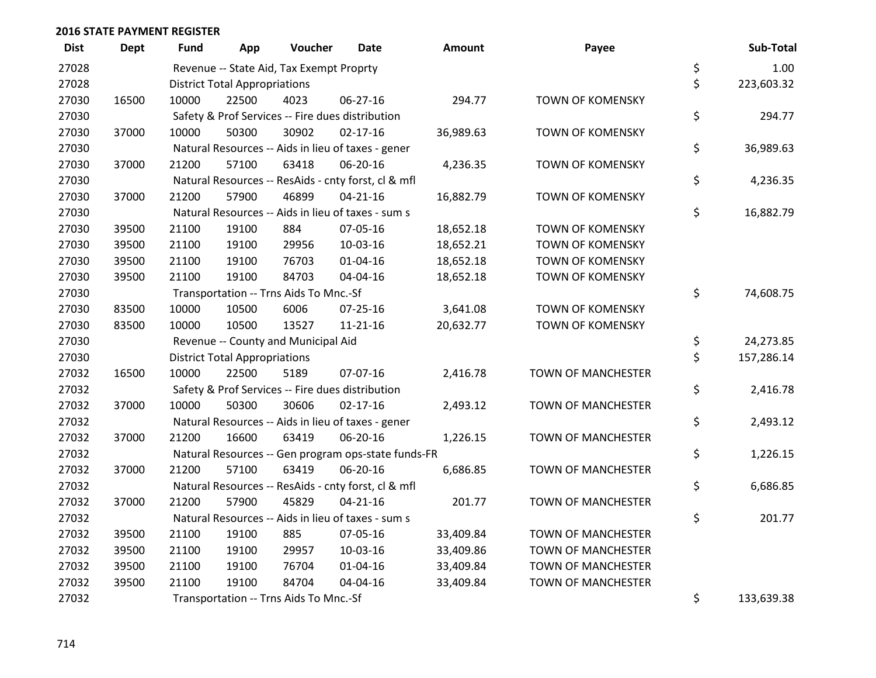| <b>Dist</b> | <b>Dept</b> | Fund  | App                                  | Voucher                                             | <b>Date</b>    | <b>Amount</b> | Payee                     | Sub-Total        |
|-------------|-------------|-------|--------------------------------------|-----------------------------------------------------|----------------|---------------|---------------------------|------------------|
| 27028       |             |       |                                      | Revenue -- State Aid, Tax Exempt Proprty            |                |               |                           | \$<br>1.00       |
| 27028       |             |       | <b>District Total Appropriations</b> |                                                     |                |               |                           | \$<br>223,603.32 |
| 27030       | 16500       | 10000 | 22500                                | 4023                                                | 06-27-16       | 294.77        | <b>TOWN OF KOMENSKY</b>   |                  |
| 27030       |             |       |                                      | Safety & Prof Services -- Fire dues distribution    |                |               |                           | \$<br>294.77     |
| 27030       | 37000       | 10000 | 50300                                | 30902                                               | $02 - 17 - 16$ | 36,989.63     | <b>TOWN OF KOMENSKY</b>   |                  |
| 27030       |             |       |                                      | Natural Resources -- Aids in lieu of taxes - gener  |                |               |                           | \$<br>36,989.63  |
| 27030       | 37000       | 21200 | 57100                                | 63418                                               | 06-20-16       | 4,236.35      | <b>TOWN OF KOMENSKY</b>   |                  |
| 27030       |             |       |                                      | Natural Resources -- ResAids - cnty forst, cl & mfl |                |               |                           | \$<br>4,236.35   |
| 27030       | 37000       | 21200 | 57900                                | 46899                                               | $04 - 21 - 16$ | 16,882.79     | <b>TOWN OF KOMENSKY</b>   |                  |
| 27030       |             |       |                                      | Natural Resources -- Aids in lieu of taxes - sum s  |                |               |                           | \$<br>16,882.79  |
| 27030       | 39500       | 21100 | 19100                                | 884                                                 | 07-05-16       | 18,652.18     | <b>TOWN OF KOMENSKY</b>   |                  |
| 27030       | 39500       | 21100 | 19100                                | 29956                                               | 10-03-16       | 18,652.21     | <b>TOWN OF KOMENSKY</b>   |                  |
| 27030       | 39500       | 21100 | 19100                                | 76703                                               | $01 - 04 - 16$ | 18,652.18     | <b>TOWN OF KOMENSKY</b>   |                  |
| 27030       | 39500       | 21100 | 19100                                | 84703                                               | 04-04-16       | 18,652.18     | <b>TOWN OF KOMENSKY</b>   |                  |
| 27030       |             |       |                                      | Transportation -- Trns Aids To Mnc.-Sf              |                |               |                           | \$<br>74,608.75  |
| 27030       | 83500       | 10000 | 10500                                | 6006                                                | 07-25-16       | 3,641.08      | <b>TOWN OF KOMENSKY</b>   |                  |
| 27030       | 83500       | 10000 | 10500                                | 13527                                               | $11 - 21 - 16$ | 20,632.77     | <b>TOWN OF KOMENSKY</b>   |                  |
| 27030       |             |       |                                      | Revenue -- County and Municipal Aid                 |                |               |                           | \$<br>24,273.85  |
| 27030       |             |       | <b>District Total Appropriations</b> |                                                     |                |               |                           | \$<br>157,286.14 |
| 27032       | 16500       | 10000 | 22500                                | 5189                                                | 07-07-16       | 2,416.78      | <b>TOWN OF MANCHESTER</b> |                  |
| 27032       |             |       |                                      | Safety & Prof Services -- Fire dues distribution    |                |               |                           | \$<br>2,416.78   |
| 27032       | 37000       | 10000 | 50300                                | 30606                                               | $02 - 17 - 16$ | 2,493.12      | TOWN OF MANCHESTER        |                  |
| 27032       |             |       |                                      | Natural Resources -- Aids in lieu of taxes - gener  |                |               |                           | \$<br>2,493.12   |
| 27032       | 37000       | 21200 | 16600                                | 63419                                               | 06-20-16       | 1,226.15      | TOWN OF MANCHESTER        |                  |
| 27032       |             |       |                                      | Natural Resources -- Gen program ops-state funds-FR |                |               |                           | \$<br>1,226.15   |
| 27032       | 37000       | 21200 | 57100                                | 63419                                               | 06-20-16       | 6,686.85      | <b>TOWN OF MANCHESTER</b> |                  |
| 27032       |             |       |                                      | Natural Resources -- ResAids - cnty forst, cl & mfl |                |               |                           | \$<br>6,686.85   |
| 27032       | 37000       | 21200 | 57900                                | 45829                                               | $04 - 21 - 16$ | 201.77        | TOWN OF MANCHESTER        |                  |
| 27032       |             |       |                                      | Natural Resources -- Aids in lieu of taxes - sum s  |                |               |                           | \$<br>201.77     |
| 27032       | 39500       | 21100 | 19100                                | 885                                                 | 07-05-16       | 33,409.84     | TOWN OF MANCHESTER        |                  |
| 27032       | 39500       | 21100 | 19100                                | 29957                                               | 10-03-16       | 33,409.86     | TOWN OF MANCHESTER        |                  |
| 27032       | 39500       | 21100 | 19100                                | 76704                                               | 01-04-16       | 33,409.84     | TOWN OF MANCHESTER        |                  |
| 27032       | 39500       | 21100 | 19100                                | 84704                                               | 04-04-16       | 33,409.84     | <b>TOWN OF MANCHESTER</b> |                  |
| 27032       |             |       |                                      | Transportation -- Trns Aids To Mnc.-Sf              |                |               |                           | \$<br>133,639.38 |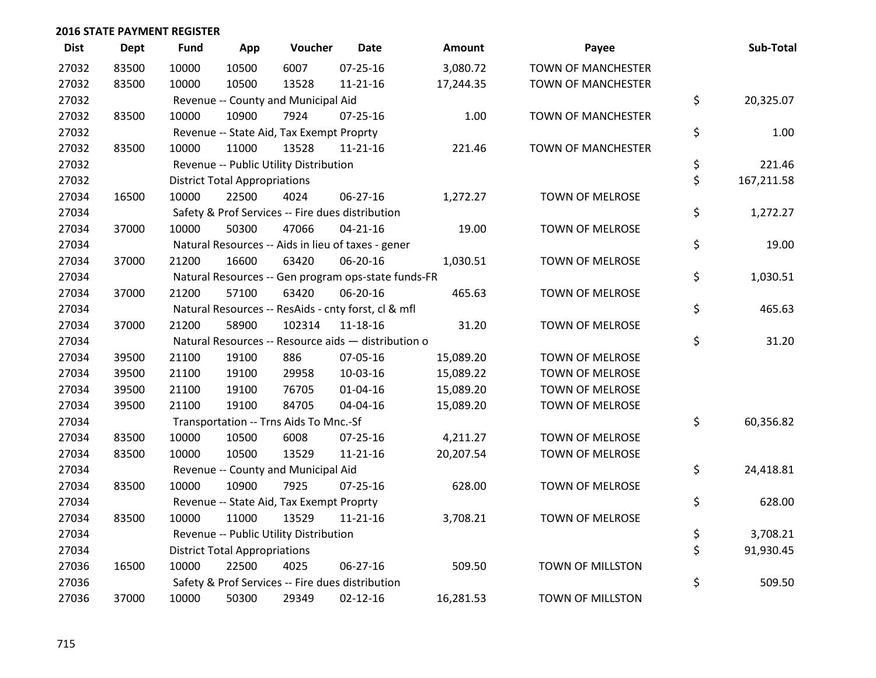| <b>Dist</b> | <b>Dept</b> | <b>Fund</b> | App                                  | Voucher                                  | Date                                                | Amount    | Payee                     | Sub-Total        |
|-------------|-------------|-------------|--------------------------------------|------------------------------------------|-----------------------------------------------------|-----------|---------------------------|------------------|
| 27032       | 83500       | 10000       | 10500                                | 6007                                     | 07-25-16                                            | 3,080.72  | <b>TOWN OF MANCHESTER</b> |                  |
| 27032       | 83500       | 10000       | 10500                                | 13528                                    | 11-21-16                                            | 17,244.35 | <b>TOWN OF MANCHESTER</b> |                  |
| 27032       |             |             |                                      | Revenue -- County and Municipal Aid      |                                                     |           |                           | \$<br>20,325.07  |
| 27032       | 83500       | 10000       | 10900                                | 7924                                     | 07-25-16                                            | 1.00      | <b>TOWN OF MANCHESTER</b> |                  |
| 27032       |             |             |                                      | Revenue -- State Aid, Tax Exempt Proprty |                                                     |           |                           | \$<br>1.00       |
| 27032       | 83500       | 10000       | 11000                                | 13528                                    | $11 - 21 - 16$                                      | 221.46    | <b>TOWN OF MANCHESTER</b> |                  |
| 27032       |             |             |                                      | Revenue -- Public Utility Distribution   |                                                     |           |                           | \$<br>221.46     |
| 27032       |             |             | <b>District Total Appropriations</b> |                                          |                                                     |           |                           | \$<br>167,211.58 |
| 27034       | 16500       | 10000       | 22500                                | 4024                                     | 06-27-16                                            | 1,272.27  | TOWN OF MELROSE           |                  |
| 27034       |             |             |                                      |                                          | Safety & Prof Services -- Fire dues distribution    |           |                           | \$<br>1,272.27   |
| 27034       | 37000       | 10000       | 50300                                | 47066                                    | $04 - 21 - 16$                                      | 19.00     | TOWN OF MELROSE           |                  |
| 27034       |             |             |                                      |                                          | Natural Resources -- Aids in lieu of taxes - gener  |           |                           | \$<br>19.00      |
| 27034       | 37000       | 21200       | 16600                                | 63420                                    | 06-20-16                                            | 1,030.51  | TOWN OF MELROSE           |                  |
| 27034       |             |             |                                      |                                          | Natural Resources -- Gen program ops-state funds-FR |           |                           | \$<br>1,030.51   |
| 27034       | 37000       | 21200       | 57100                                | 63420                                    | 06-20-16                                            | 465.63    | <b>TOWN OF MELROSE</b>    |                  |
| 27034       |             |             |                                      |                                          | Natural Resources -- ResAids - cnty forst, cl & mfl |           |                           | \$<br>465.63     |
| 27034       | 37000       | 21200       | 58900                                | 102314                                   | 11-18-16                                            | 31.20     | TOWN OF MELROSE           |                  |
| 27034       |             |             |                                      |                                          | Natural Resources -- Resource aids - distribution o |           |                           | \$<br>31.20      |
| 27034       | 39500       | 21100       | 19100                                | 886                                      | 07-05-16                                            | 15,089.20 | TOWN OF MELROSE           |                  |
| 27034       | 39500       | 21100       | 19100                                | 29958                                    | 10-03-16                                            | 15,089.22 | <b>TOWN OF MELROSE</b>    |                  |
| 27034       | 39500       | 21100       | 19100                                | 76705                                    | $01 - 04 - 16$                                      | 15,089.20 | TOWN OF MELROSE           |                  |
| 27034       | 39500       | 21100       | 19100                                | 84705                                    | 04-04-16                                            | 15,089.20 | TOWN OF MELROSE           |                  |
| 27034       |             |             |                                      | Transportation -- Trns Aids To Mnc.-Sf   |                                                     |           |                           | \$<br>60,356.82  |
| 27034       | 83500       | 10000       | 10500                                | 6008                                     | $07 - 25 - 16$                                      | 4,211.27  | <b>TOWN OF MELROSE</b>    |                  |
| 27034       | 83500       | 10000       | 10500                                | 13529                                    | $11 - 21 - 16$                                      | 20,207.54 | TOWN OF MELROSE           |                  |
| 27034       |             |             |                                      | Revenue -- County and Municipal Aid      |                                                     |           |                           | \$<br>24,418.81  |
| 27034       | 83500       | 10000       | 10900                                | 7925                                     | $07 - 25 - 16$                                      | 628.00    | TOWN OF MELROSE           |                  |
| 27034       |             |             |                                      | Revenue -- State Aid, Tax Exempt Proprty |                                                     |           |                           | \$<br>628.00     |
| 27034       | 83500       | 10000       | 11000                                | 13529                                    | $11 - 21 - 16$                                      | 3,708.21  | TOWN OF MELROSE           |                  |
| 27034       |             |             |                                      | Revenue -- Public Utility Distribution   |                                                     |           |                           | \$<br>3,708.21   |
| 27034       |             |             | <b>District Total Appropriations</b> |                                          |                                                     |           |                           | \$<br>91,930.45  |
| 27036       | 16500       | 10000       | 22500                                | 4025                                     | 06-27-16                                            | 509.50    | TOWN OF MILLSTON          |                  |
| 27036       |             |             |                                      |                                          | Safety & Prof Services -- Fire dues distribution    |           |                           | \$<br>509.50     |
| 27036       | 37000       | 10000       | 50300                                | 29349                                    | $02 - 12 - 16$                                      | 16,281.53 | TOWN OF MILLSTON          |                  |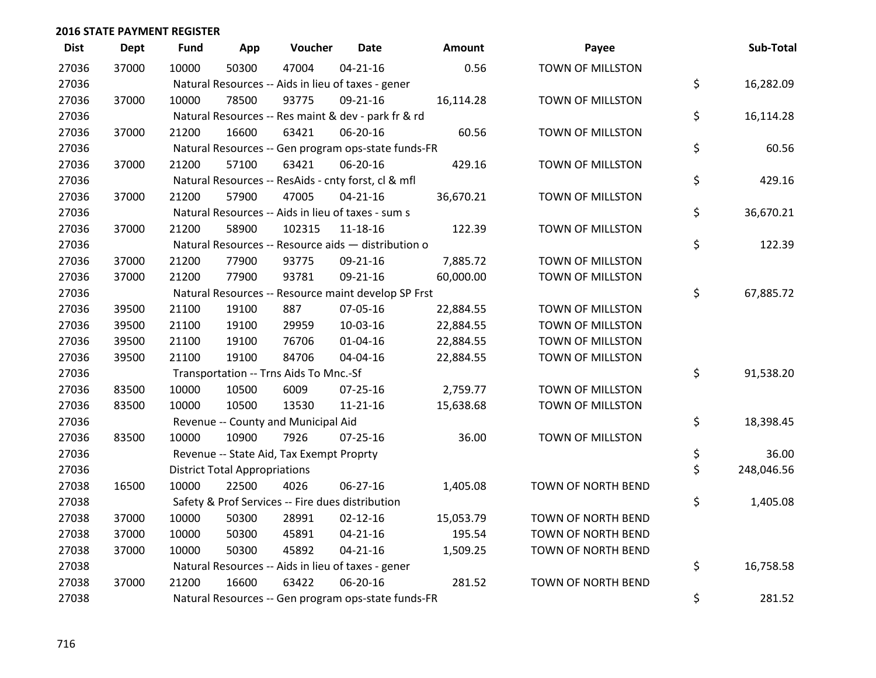| <b>Dist</b> | <b>Dept</b> | <b>Fund</b> | App                                  | Voucher                                             | <b>Date</b>    | Amount    | Payee                   | Sub-Total        |
|-------------|-------------|-------------|--------------------------------------|-----------------------------------------------------|----------------|-----------|-------------------------|------------------|
| 27036       | 37000       | 10000       | 50300                                | 47004                                               | $04 - 21 - 16$ | 0.56      | <b>TOWN OF MILLSTON</b> |                  |
| 27036       |             |             |                                      | Natural Resources -- Aids in lieu of taxes - gener  |                |           |                         | \$<br>16,282.09  |
| 27036       | 37000       | 10000       | 78500                                | 93775                                               | 09-21-16       | 16,114.28 | TOWN OF MILLSTON        |                  |
| 27036       |             |             |                                      | Natural Resources -- Res maint & dev - park fr & rd |                |           |                         | \$<br>16,114.28  |
| 27036       | 37000       | 21200       | 16600                                | 63421                                               | 06-20-16       | 60.56     | TOWN OF MILLSTON        |                  |
| 27036       |             |             |                                      | Natural Resources -- Gen program ops-state funds-FR |                |           |                         | \$<br>60.56      |
| 27036       | 37000       | 21200       | 57100                                | 63421                                               | 06-20-16       | 429.16    | TOWN OF MILLSTON        |                  |
| 27036       |             |             |                                      | Natural Resources -- ResAids - cnty forst, cl & mfl |                |           |                         | \$<br>429.16     |
| 27036       | 37000       | 21200       | 57900                                | 47005                                               | $04 - 21 - 16$ | 36,670.21 | TOWN OF MILLSTON        |                  |
| 27036       |             |             |                                      | Natural Resources -- Aids in lieu of taxes - sum s  |                |           |                         | \$<br>36,670.21  |
| 27036       | 37000       | 21200       | 58900                                | 102315                                              | $11 - 18 - 16$ | 122.39    | TOWN OF MILLSTON        |                  |
| 27036       |             |             |                                      | Natural Resources -- Resource aids - distribution o |                |           |                         | \$<br>122.39     |
| 27036       | 37000       | 21200       | 77900                                | 93775                                               | 09-21-16       | 7,885.72  | TOWN OF MILLSTON        |                  |
| 27036       | 37000       | 21200       | 77900                                | 93781                                               | 09-21-16       | 60,000.00 | TOWN OF MILLSTON        |                  |
| 27036       |             |             |                                      | Natural Resources -- Resource maint develop SP Frst |                |           |                         | \$<br>67,885.72  |
| 27036       | 39500       | 21100       | 19100                                | 887                                                 | 07-05-16       | 22,884.55 | TOWN OF MILLSTON        |                  |
| 27036       | 39500       | 21100       | 19100                                | 29959                                               | 10-03-16       | 22,884.55 | TOWN OF MILLSTON        |                  |
| 27036       | 39500       | 21100       | 19100                                | 76706                                               | $01 - 04 - 16$ | 22,884.55 | TOWN OF MILLSTON        |                  |
| 27036       | 39500       | 21100       | 19100                                | 84706                                               | 04-04-16       | 22,884.55 | TOWN OF MILLSTON        |                  |
| 27036       |             |             |                                      | Transportation -- Trns Aids To Mnc.-Sf              |                |           |                         | \$<br>91,538.20  |
| 27036       | 83500       | 10000       | 10500                                | 6009                                                | $07 - 25 - 16$ | 2,759.77  | TOWN OF MILLSTON        |                  |
| 27036       | 83500       | 10000       | 10500                                | 13530                                               | $11 - 21 - 16$ | 15,638.68 | TOWN OF MILLSTON        |                  |
| 27036       |             |             |                                      | Revenue -- County and Municipal Aid                 |                |           |                         | \$<br>18,398.45  |
| 27036       | 83500       | 10000       | 10900                                | 7926                                                | $07 - 25 - 16$ | 36.00     | TOWN OF MILLSTON        |                  |
| 27036       |             |             |                                      | Revenue -- State Aid, Tax Exempt Proprty            |                |           |                         | \$<br>36.00      |
| 27036       |             |             | <b>District Total Appropriations</b> |                                                     |                |           |                         | \$<br>248,046.56 |
| 27038       | 16500       | 10000       | 22500                                | 4026                                                | 06-27-16       | 1,405.08  | TOWN OF NORTH BEND      |                  |
| 27038       |             |             |                                      | Safety & Prof Services -- Fire dues distribution    |                |           |                         | \$<br>1,405.08   |
| 27038       | 37000       | 10000       | 50300                                | 28991                                               | $02 - 12 - 16$ | 15,053.79 | TOWN OF NORTH BEND      |                  |
| 27038       | 37000       | 10000       | 50300                                | 45891                                               | $04 - 21 - 16$ | 195.54    | TOWN OF NORTH BEND      |                  |
| 27038       | 37000       | 10000       | 50300                                | 45892                                               | $04 - 21 - 16$ | 1,509.25  | TOWN OF NORTH BEND      |                  |
| 27038       |             |             |                                      | Natural Resources -- Aids in lieu of taxes - gener  |                |           |                         | \$<br>16,758.58  |
| 27038       | 37000       | 21200       | 16600                                | 63422                                               | 06-20-16       | 281.52    | TOWN OF NORTH BEND      |                  |
| 27038       |             |             |                                      | Natural Resources -- Gen program ops-state funds-FR |                |           |                         | \$<br>281.52     |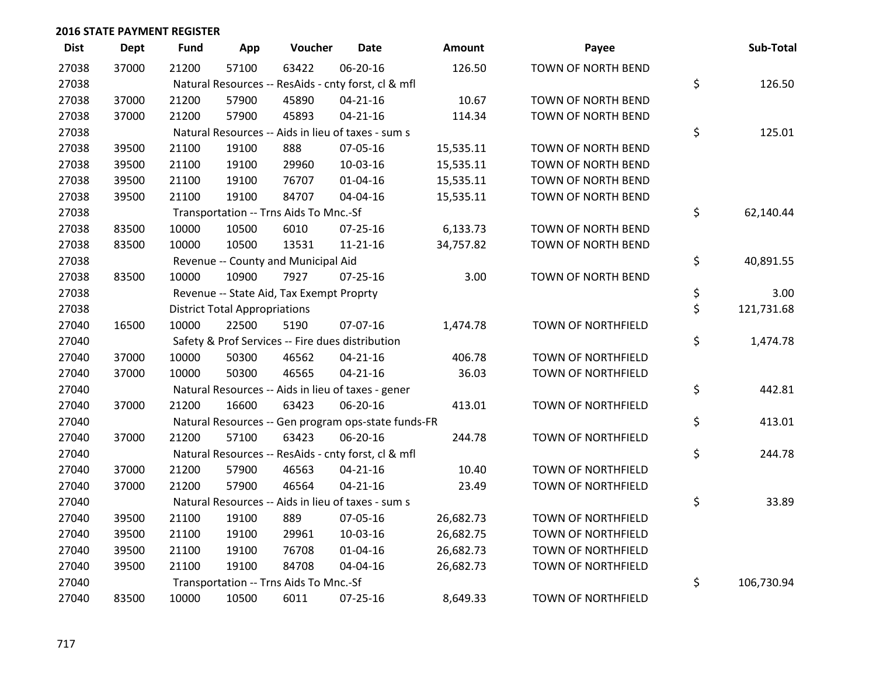| <b>Dist</b> | <b>Dept</b> | <b>Fund</b> | App                                  | Voucher                                             | <b>Date</b>    | <b>Amount</b> | Payee                     | Sub-Total        |
|-------------|-------------|-------------|--------------------------------------|-----------------------------------------------------|----------------|---------------|---------------------------|------------------|
| 27038       | 37000       | 21200       | 57100                                | 63422                                               | 06-20-16       | 126.50        | TOWN OF NORTH BEND        |                  |
| 27038       |             |             |                                      | Natural Resources -- ResAids - cnty forst, cl & mfl |                |               |                           | \$<br>126.50     |
| 27038       | 37000       | 21200       | 57900                                | 45890                                               | $04 - 21 - 16$ | 10.67         | TOWN OF NORTH BEND        |                  |
| 27038       | 37000       | 21200       | 57900                                | 45893                                               | $04 - 21 - 16$ | 114.34        | TOWN OF NORTH BEND        |                  |
| 27038       |             |             |                                      | Natural Resources -- Aids in lieu of taxes - sum s  |                |               |                           | \$<br>125.01     |
| 27038       | 39500       | 21100       | 19100                                | 888                                                 | 07-05-16       | 15,535.11     | TOWN OF NORTH BEND        |                  |
| 27038       | 39500       | 21100       | 19100                                | 29960                                               | 10-03-16       | 15,535.11     | TOWN OF NORTH BEND        |                  |
| 27038       | 39500       | 21100       | 19100                                | 76707                                               | $01 - 04 - 16$ | 15,535.11     | TOWN OF NORTH BEND        |                  |
| 27038       | 39500       | 21100       | 19100                                | 84707                                               | 04-04-16       | 15,535.11     | TOWN OF NORTH BEND        |                  |
| 27038       |             |             |                                      | Transportation -- Trns Aids To Mnc.-Sf              |                |               |                           | \$<br>62,140.44  |
| 27038       | 83500       | 10000       | 10500                                | 6010                                                | $07 - 25 - 16$ | 6,133.73      | TOWN OF NORTH BEND        |                  |
| 27038       | 83500       | 10000       | 10500                                | 13531                                               | 11-21-16       | 34,757.82     | TOWN OF NORTH BEND        |                  |
| 27038       |             |             |                                      | Revenue -- County and Municipal Aid                 |                |               |                           | \$<br>40,891.55  |
| 27038       | 83500       | 10000       | 10900                                | 7927                                                | $07 - 25 - 16$ | 3.00          | TOWN OF NORTH BEND        |                  |
| 27038       |             |             |                                      | Revenue -- State Aid, Tax Exempt Proprty            |                |               |                           | \$<br>3.00       |
| 27038       |             |             | <b>District Total Appropriations</b> |                                                     |                |               |                           | \$<br>121,731.68 |
| 27040       | 16500       | 10000       | 22500                                | 5190                                                | 07-07-16       | 1,474.78      | TOWN OF NORTHFIELD        |                  |
| 27040       |             |             |                                      | Safety & Prof Services -- Fire dues distribution    |                |               |                           | \$<br>1,474.78   |
| 27040       | 37000       | 10000       | 50300                                | 46562                                               | $04 - 21 - 16$ | 406.78        | TOWN OF NORTHFIELD        |                  |
| 27040       | 37000       | 10000       | 50300                                | 46565                                               | $04 - 21 - 16$ | 36.03         | TOWN OF NORTHFIELD        |                  |
| 27040       |             |             |                                      | Natural Resources -- Aids in lieu of taxes - gener  |                |               |                           | \$<br>442.81     |
| 27040       | 37000       | 21200       | 16600                                | 63423                                               | 06-20-16       | 413.01        | <b>TOWN OF NORTHFIELD</b> |                  |
| 27040       |             |             |                                      | Natural Resources -- Gen program ops-state funds-FR |                |               |                           | \$<br>413.01     |
| 27040       | 37000       | 21200       | 57100                                | 63423                                               | 06-20-16       | 244.78        | TOWN OF NORTHFIELD        |                  |
| 27040       |             |             |                                      | Natural Resources -- ResAids - cnty forst, cl & mfl |                |               |                           | \$<br>244.78     |
| 27040       | 37000       | 21200       | 57900                                | 46563                                               | $04 - 21 - 16$ | 10.40         | <b>TOWN OF NORTHFIELD</b> |                  |
| 27040       | 37000       | 21200       | 57900                                | 46564                                               | $04 - 21 - 16$ | 23.49         | TOWN OF NORTHFIELD        |                  |
| 27040       |             |             |                                      | Natural Resources -- Aids in lieu of taxes - sum s  |                |               |                           | \$<br>33.89      |
| 27040       | 39500       | 21100       | 19100                                | 889                                                 | 07-05-16       | 26,682.73     | TOWN OF NORTHFIELD        |                  |
| 27040       | 39500       | 21100       | 19100                                | 29961                                               | 10-03-16       | 26,682.75     | TOWN OF NORTHFIELD        |                  |
| 27040       | 39500       | 21100       | 19100                                | 76708                                               | $01 - 04 - 16$ | 26,682.73     | <b>TOWN OF NORTHFIELD</b> |                  |
| 27040       | 39500       | 21100       | 19100                                | 84708                                               | 04-04-16       | 26,682.73     | TOWN OF NORTHFIELD        |                  |
| 27040       |             |             |                                      | Transportation -- Trns Aids To Mnc.-Sf              |                |               |                           | \$<br>106,730.94 |
| 27040       | 83500       | 10000       | 10500                                | 6011                                                | $07 - 25 - 16$ | 8,649.33      | TOWN OF NORTHFIELD        |                  |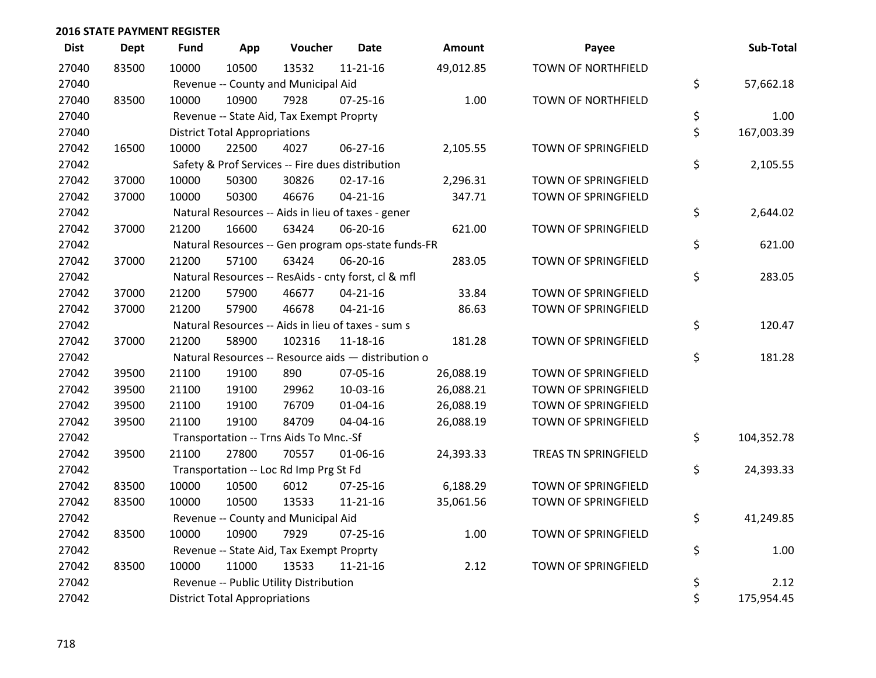| <b>Dist</b> | <b>Dept</b> | <b>Fund</b> | App                                  | Voucher                                             | <b>Date</b>    | Amount    | Payee                      | Sub-Total        |
|-------------|-------------|-------------|--------------------------------------|-----------------------------------------------------|----------------|-----------|----------------------------|------------------|
| 27040       | 83500       | 10000       | 10500                                | 13532                                               | $11 - 21 - 16$ | 49,012.85 | <b>TOWN OF NORTHFIELD</b>  |                  |
| 27040       |             |             |                                      | Revenue -- County and Municipal Aid                 |                |           |                            | \$<br>57,662.18  |
| 27040       | 83500       | 10000       | 10900                                | 7928                                                | $07 - 25 - 16$ | 1.00      | <b>TOWN OF NORTHFIELD</b>  |                  |
| 27040       |             |             |                                      | Revenue -- State Aid, Tax Exempt Proprty            |                |           |                            | \$<br>1.00       |
| 27040       |             |             | <b>District Total Appropriations</b> |                                                     |                |           |                            | \$<br>167,003.39 |
| 27042       | 16500       | 10000       | 22500                                | 4027                                                | 06-27-16       | 2,105.55  | TOWN OF SPRINGFIELD        |                  |
| 27042       |             |             |                                      | Safety & Prof Services -- Fire dues distribution    |                |           |                            | \$<br>2,105.55   |
| 27042       | 37000       | 10000       | 50300                                | 30826                                               | $02 - 17 - 16$ | 2,296.31  | <b>TOWN OF SPRINGFIELD</b> |                  |
| 27042       | 37000       | 10000       | 50300                                | 46676                                               | $04 - 21 - 16$ | 347.71    | TOWN OF SPRINGFIELD        |                  |
| 27042       |             |             |                                      | Natural Resources -- Aids in lieu of taxes - gener  |                |           |                            | \$<br>2,644.02   |
| 27042       | 37000       | 21200       | 16600                                | 63424                                               | 06-20-16       | 621.00    | TOWN OF SPRINGFIELD        |                  |
| 27042       |             |             |                                      | Natural Resources -- Gen program ops-state funds-FR |                |           |                            | \$<br>621.00     |
| 27042       | 37000       | 21200       | 57100                                | 63424                                               | 06-20-16       | 283.05    | TOWN OF SPRINGFIELD        |                  |
| 27042       |             |             |                                      | Natural Resources -- ResAids - cnty forst, cl & mfl |                |           |                            | \$<br>283.05     |
| 27042       | 37000       | 21200       | 57900                                | 46677                                               | $04 - 21 - 16$ | 33.84     | TOWN OF SPRINGFIELD        |                  |
| 27042       | 37000       | 21200       | 57900                                | 46678                                               | $04 - 21 - 16$ | 86.63     | TOWN OF SPRINGFIELD        |                  |
| 27042       |             |             |                                      | Natural Resources -- Aids in lieu of taxes - sum s  |                |           |                            | \$<br>120.47     |
| 27042       | 37000       | 21200       | 58900                                | 102316                                              | 11-18-16       | 181.28    | TOWN OF SPRINGFIELD        |                  |
| 27042       |             |             |                                      | Natural Resources -- Resource aids - distribution o |                |           |                            | \$<br>181.28     |
| 27042       | 39500       | 21100       | 19100                                | 890                                                 | 07-05-16       | 26,088.19 | TOWN OF SPRINGFIELD        |                  |
| 27042       | 39500       | 21100       | 19100                                | 29962                                               | 10-03-16       | 26,088.21 | TOWN OF SPRINGFIELD        |                  |
| 27042       | 39500       | 21100       | 19100                                | 76709                                               | $01 - 04 - 16$ | 26,088.19 | TOWN OF SPRINGFIELD        |                  |
| 27042       | 39500       | 21100       | 19100                                | 84709                                               | 04-04-16       | 26,088.19 | TOWN OF SPRINGFIELD        |                  |
| 27042       |             |             |                                      | Transportation -- Trns Aids To Mnc.-Sf              |                |           |                            | \$<br>104,352.78 |
| 27042       | 39500       | 21100       | 27800                                | 70557                                               | 01-06-16       | 24,393.33 | TREAS TN SPRINGFIELD       |                  |
| 27042       |             |             |                                      | Transportation -- Loc Rd Imp Prg St Fd              |                |           |                            | \$<br>24,393.33  |
| 27042       | 83500       | 10000       | 10500                                | 6012                                                | $07 - 25 - 16$ | 6,188.29  | TOWN OF SPRINGFIELD        |                  |
| 27042       | 83500       | 10000       | 10500                                | 13533                                               | $11 - 21 - 16$ | 35,061.56 | TOWN OF SPRINGFIELD        |                  |
| 27042       |             |             |                                      | Revenue -- County and Municipal Aid                 |                |           |                            | \$<br>41,249.85  |
| 27042       | 83500       | 10000       | 10900                                | 7929                                                | $07 - 25 - 16$ | 1.00      | TOWN OF SPRINGFIELD        |                  |
| 27042       |             |             |                                      | Revenue -- State Aid, Tax Exempt Proprty            |                |           |                            | \$<br>1.00       |
| 27042       | 83500       | 10000       | 11000                                | 13533                                               | $11 - 21 - 16$ | 2.12      | TOWN OF SPRINGFIELD        |                  |
| 27042       |             |             |                                      | Revenue -- Public Utility Distribution              |                |           |                            | \$<br>2.12       |
| 27042       |             |             | <b>District Total Appropriations</b> |                                                     |                |           |                            | \$<br>175,954.45 |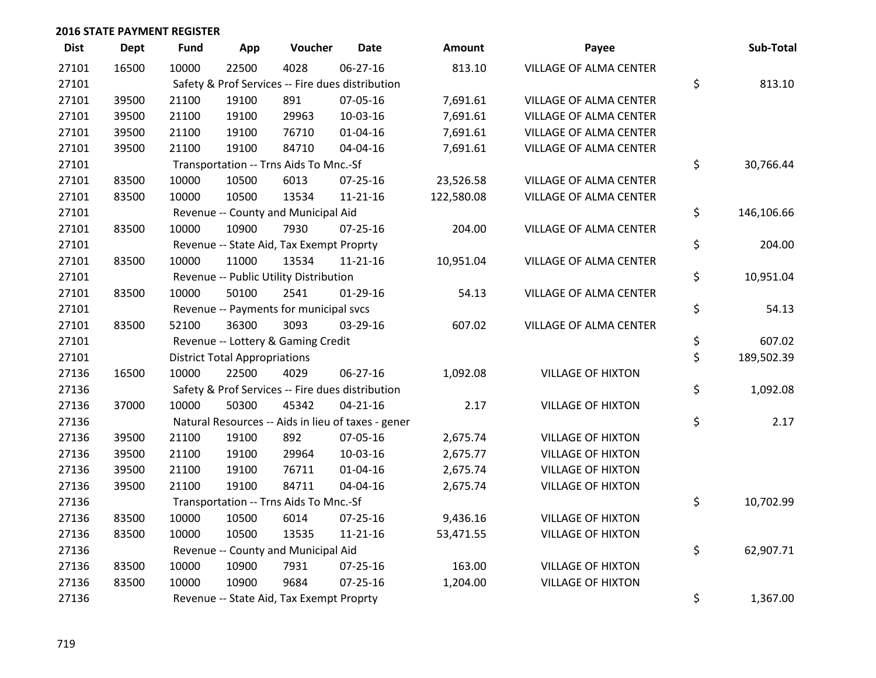| <b>Dist</b> | <b>Dept</b> | Fund  | App                                  | Voucher                                  | <b>Date</b>                                        | <b>Amount</b> | Payee                    | Sub-Total        |
|-------------|-------------|-------|--------------------------------------|------------------------------------------|----------------------------------------------------|---------------|--------------------------|------------------|
| 27101       | 16500       | 10000 | 22500                                | 4028                                     | 06-27-16                                           | 813.10        | VILLAGE OF ALMA CENTER   |                  |
| 27101       |             |       |                                      |                                          | Safety & Prof Services -- Fire dues distribution   |               |                          | \$<br>813.10     |
| 27101       | 39500       | 21100 | 19100                                | 891                                      | 07-05-16                                           | 7,691.61      | VILLAGE OF ALMA CENTER   |                  |
| 27101       | 39500       | 21100 | 19100                                | 29963                                    | 10-03-16                                           | 7,691.61      | VILLAGE OF ALMA CENTER   |                  |
| 27101       | 39500       | 21100 | 19100                                | 76710                                    | $01 - 04 - 16$                                     | 7,691.61      | VILLAGE OF ALMA CENTER   |                  |
| 27101       | 39500       | 21100 | 19100                                | 84710                                    | 04-04-16                                           | 7,691.61      | VILLAGE OF ALMA CENTER   |                  |
| 27101       |             |       |                                      | Transportation -- Trns Aids To Mnc.-Sf   |                                                    |               |                          | \$<br>30,766.44  |
| 27101       | 83500       | 10000 | 10500                                | 6013                                     | 07-25-16                                           | 23,526.58     | VILLAGE OF ALMA CENTER   |                  |
| 27101       | 83500       | 10000 | 10500                                | 13534                                    | $11 - 21 - 16$                                     | 122,580.08    | VILLAGE OF ALMA CENTER   |                  |
| 27101       |             |       |                                      | Revenue -- County and Municipal Aid      |                                                    |               |                          | \$<br>146,106.66 |
| 27101       | 83500       | 10000 | 10900                                | 7930                                     | $07 - 25 - 16$                                     | 204.00        | VILLAGE OF ALMA CENTER   |                  |
| 27101       |             |       |                                      | Revenue -- State Aid, Tax Exempt Proprty |                                                    |               |                          | \$<br>204.00     |
| 27101       | 83500       | 10000 | 11000                                | 13534                                    | $11 - 21 - 16$                                     | 10,951.04     | VILLAGE OF ALMA CENTER   |                  |
| 27101       |             |       |                                      | Revenue -- Public Utility Distribution   |                                                    |               |                          | \$<br>10,951.04  |
| 27101       | 83500       | 10000 | 50100                                | 2541                                     | $01-29-16$                                         | 54.13         | VILLAGE OF ALMA CENTER   |                  |
| 27101       |             |       |                                      | Revenue -- Payments for municipal svcs   |                                                    |               |                          | \$<br>54.13      |
| 27101       | 83500       | 52100 | 36300                                | 3093                                     | 03-29-16                                           | 607.02        | VILLAGE OF ALMA CENTER   |                  |
| 27101       |             |       |                                      | Revenue -- Lottery & Gaming Credit       |                                                    |               |                          | \$<br>607.02     |
| 27101       |             |       | <b>District Total Appropriations</b> |                                          |                                                    |               |                          | \$<br>189,502.39 |
| 27136       | 16500       | 10000 | 22500                                | 4029                                     | 06-27-16                                           | 1,092.08      | <b>VILLAGE OF HIXTON</b> |                  |
| 27136       |             |       |                                      |                                          | Safety & Prof Services -- Fire dues distribution   |               |                          | \$<br>1,092.08   |
| 27136       | 37000       | 10000 | 50300                                | 45342                                    | $04 - 21 - 16$                                     | 2.17          | <b>VILLAGE OF HIXTON</b> |                  |
| 27136       |             |       |                                      |                                          | Natural Resources -- Aids in lieu of taxes - gener |               |                          | \$<br>2.17       |
| 27136       | 39500       | 21100 | 19100                                | 892                                      | 07-05-16                                           | 2,675.74      | <b>VILLAGE OF HIXTON</b> |                  |
| 27136       | 39500       | 21100 | 19100                                | 29964                                    | 10-03-16                                           | 2,675.77      | <b>VILLAGE OF HIXTON</b> |                  |
| 27136       | 39500       | 21100 | 19100                                | 76711                                    | $01 - 04 - 16$                                     | 2,675.74      | <b>VILLAGE OF HIXTON</b> |                  |
| 27136       | 39500       | 21100 | 19100                                | 84711                                    | 04-04-16                                           | 2,675.74      | <b>VILLAGE OF HIXTON</b> |                  |
| 27136       |             |       |                                      | Transportation -- Trns Aids To Mnc.-Sf   |                                                    |               |                          | \$<br>10,702.99  |
| 27136       | 83500       | 10000 | 10500                                | 6014                                     | 07-25-16                                           | 9,436.16      | <b>VILLAGE OF HIXTON</b> |                  |
| 27136       | 83500       | 10000 | 10500                                | 13535                                    | $11 - 21 - 16$                                     | 53,471.55     | <b>VILLAGE OF HIXTON</b> |                  |
| 27136       |             |       |                                      | Revenue -- County and Municipal Aid      |                                                    |               |                          | \$<br>62,907.71  |
| 27136       | 83500       | 10000 | 10900                                | 7931                                     | $07 - 25 - 16$                                     | 163.00        | <b>VILLAGE OF HIXTON</b> |                  |
| 27136       | 83500       | 10000 | 10900                                | 9684                                     | $07 - 25 - 16$                                     | 1,204.00      | <b>VILLAGE OF HIXTON</b> |                  |
| 27136       |             |       |                                      | Revenue -- State Aid, Tax Exempt Proprty |                                                    |               |                          | \$<br>1,367.00   |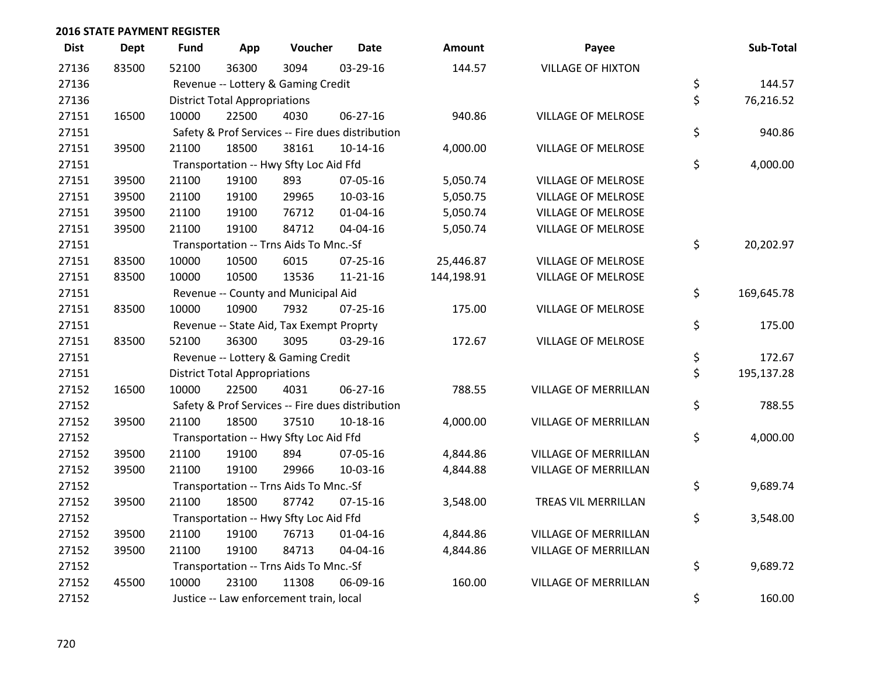| <b>Dist</b> | <b>Dept</b> | <b>Fund</b> | App                                  | Voucher                                          | <b>Date</b>    | <b>Amount</b> | Payee                       | Sub-Total        |
|-------------|-------------|-------------|--------------------------------------|--------------------------------------------------|----------------|---------------|-----------------------------|------------------|
| 27136       | 83500       | 52100       | 36300                                | 3094                                             | 03-29-16       | 144.57        | <b>VILLAGE OF HIXTON</b>    |                  |
| 27136       |             |             |                                      | Revenue -- Lottery & Gaming Credit               |                |               |                             | \$<br>144.57     |
| 27136       |             |             | <b>District Total Appropriations</b> |                                                  |                |               |                             | \$<br>76,216.52  |
| 27151       | 16500       | 10000       | 22500                                | 4030                                             | $06 - 27 - 16$ | 940.86        | <b>VILLAGE OF MELROSE</b>   |                  |
| 27151       |             |             |                                      | Safety & Prof Services -- Fire dues distribution |                |               |                             | \$<br>940.86     |
| 27151       | 39500       | 21100       | 18500                                | 38161                                            | 10-14-16       | 4,000.00      | <b>VILLAGE OF MELROSE</b>   |                  |
| 27151       |             |             |                                      | Transportation -- Hwy Sfty Loc Aid Ffd           |                |               |                             | \$<br>4,000.00   |
| 27151       | 39500       | 21100       | 19100                                | 893                                              | 07-05-16       | 5,050.74      | <b>VILLAGE OF MELROSE</b>   |                  |
| 27151       | 39500       | 21100       | 19100                                | 29965                                            | 10-03-16       | 5,050.75      | <b>VILLAGE OF MELROSE</b>   |                  |
| 27151       | 39500       | 21100       | 19100                                | 76712                                            | 01-04-16       | 5,050.74      | <b>VILLAGE OF MELROSE</b>   |                  |
| 27151       | 39500       | 21100       | 19100                                | 84712                                            | 04-04-16       | 5,050.74      | VILLAGE OF MELROSE          |                  |
| 27151       |             |             |                                      | Transportation -- Trns Aids To Mnc.-Sf           |                |               |                             | \$<br>20,202.97  |
| 27151       | 83500       | 10000       | 10500                                | 6015                                             | 07-25-16       | 25,446.87     | <b>VILLAGE OF MELROSE</b>   |                  |
| 27151       | 83500       | 10000       | 10500                                | 13536                                            | $11 - 21 - 16$ | 144,198.91    | <b>VILLAGE OF MELROSE</b>   |                  |
| 27151       |             |             |                                      | Revenue -- County and Municipal Aid              |                |               |                             | \$<br>169,645.78 |
| 27151       | 83500       | 10000       | 10900                                | 7932                                             | $07 - 25 - 16$ | 175.00        | <b>VILLAGE OF MELROSE</b>   |                  |
| 27151       |             |             |                                      | Revenue -- State Aid, Tax Exempt Proprty         |                |               |                             | \$<br>175.00     |
| 27151       | 83500       | 52100       | 36300                                | 3095                                             | 03-29-16       | 172.67        | <b>VILLAGE OF MELROSE</b>   |                  |
| 27151       |             |             |                                      | Revenue -- Lottery & Gaming Credit               |                |               |                             | \$<br>172.67     |
| 27151       |             |             | <b>District Total Appropriations</b> |                                                  |                |               |                             | \$<br>195,137.28 |
| 27152       | 16500       | 10000       | 22500                                | 4031                                             | $06 - 27 - 16$ | 788.55        | <b>VILLAGE OF MERRILLAN</b> |                  |
| 27152       |             |             |                                      | Safety & Prof Services -- Fire dues distribution |                |               |                             | \$<br>788.55     |
| 27152       | 39500       | 21100       | 18500                                | 37510                                            | 10-18-16       | 4,000.00      | <b>VILLAGE OF MERRILLAN</b> |                  |
| 27152       |             |             |                                      | Transportation -- Hwy Sfty Loc Aid Ffd           |                |               |                             | \$<br>4,000.00   |
| 27152       | 39500       | 21100       | 19100                                | 894                                              | 07-05-16       | 4,844.86      | <b>VILLAGE OF MERRILLAN</b> |                  |
| 27152       | 39500       | 21100       | 19100                                | 29966                                            | 10-03-16       | 4,844.88      | <b>VILLAGE OF MERRILLAN</b> |                  |
| 27152       |             |             |                                      | Transportation -- Trns Aids To Mnc.-Sf           |                |               |                             | \$<br>9,689.74   |
| 27152       | 39500       | 21100       | 18500                                | 87742                                            | $07 - 15 - 16$ | 3,548.00      | TREAS VIL MERRILLAN         |                  |
| 27152       |             |             |                                      | Transportation -- Hwy Sfty Loc Aid Ffd           |                |               |                             | \$<br>3,548.00   |
| 27152       | 39500       | 21100       | 19100                                | 76713                                            | 01-04-16       | 4,844.86      | <b>VILLAGE OF MERRILLAN</b> |                  |
| 27152       | 39500       | 21100       | 19100                                | 84713                                            | 04-04-16       | 4,844.86      | <b>VILLAGE OF MERRILLAN</b> |                  |
| 27152       |             |             |                                      | Transportation -- Trns Aids To Mnc.-Sf           |                |               |                             | \$<br>9,689.72   |
| 27152       | 45500       | 10000       | 23100                                | 11308                                            | 06-09-16       | 160.00        | <b>VILLAGE OF MERRILLAN</b> |                  |
| 27152       |             |             |                                      | Justice -- Law enforcement train, local          |                |               |                             | \$<br>160.00     |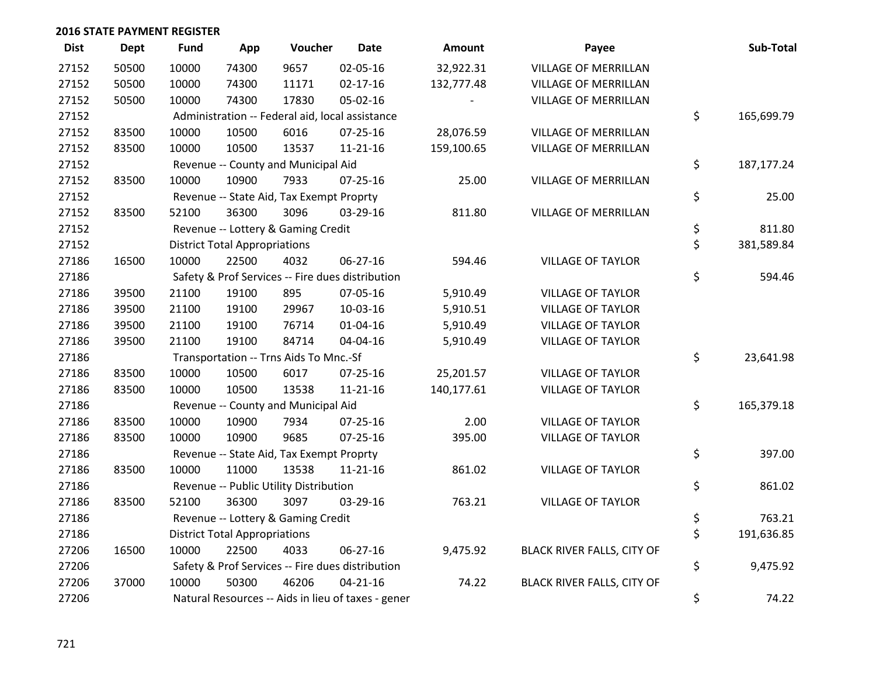| <b>Dist</b> | <b>Dept</b> | <b>Fund</b> | App                                  | Voucher                                  | <b>Date</b>                                        | Amount     | Payee                       | Sub-Total        |
|-------------|-------------|-------------|--------------------------------------|------------------------------------------|----------------------------------------------------|------------|-----------------------------|------------------|
| 27152       | 50500       | 10000       | 74300                                | 9657                                     | 02-05-16                                           | 32,922.31  | <b>VILLAGE OF MERRILLAN</b> |                  |
| 27152       | 50500       | 10000       | 74300                                | 11171                                    | $02 - 17 - 16$                                     | 132,777.48 | <b>VILLAGE OF MERRILLAN</b> |                  |
| 27152       | 50500       | 10000       | 74300                                | 17830                                    | 05-02-16                                           |            | <b>VILLAGE OF MERRILLAN</b> |                  |
| 27152       |             |             |                                      |                                          | Administration -- Federal aid, local assistance    |            |                             | \$<br>165,699.79 |
| 27152       | 83500       | 10000       | 10500                                | 6016                                     | $07 - 25 - 16$                                     | 28,076.59  | <b>VILLAGE OF MERRILLAN</b> |                  |
| 27152       | 83500       | 10000       | 10500                                | 13537                                    | $11 - 21 - 16$                                     | 159,100.65 | <b>VILLAGE OF MERRILLAN</b> |                  |
| 27152       |             |             |                                      | Revenue -- County and Municipal Aid      |                                                    |            |                             | \$<br>187,177.24 |
| 27152       | 83500       | 10000       | 10900                                | 7933                                     | $07 - 25 - 16$                                     | 25.00      | <b>VILLAGE OF MERRILLAN</b> |                  |
| 27152       |             |             |                                      | Revenue -- State Aid, Tax Exempt Proprty |                                                    |            |                             | \$<br>25.00      |
| 27152       | 83500       | 52100       | 36300                                | 3096                                     | 03-29-16                                           | 811.80     | VILLAGE OF MERRILLAN        |                  |
| 27152       |             |             |                                      | Revenue -- Lottery & Gaming Credit       |                                                    |            |                             | \$<br>811.80     |
| 27152       |             |             | <b>District Total Appropriations</b> |                                          |                                                    |            |                             | \$<br>381,589.84 |
| 27186       | 16500       | 10000       | 22500                                | 4032                                     | 06-27-16                                           | 594.46     | <b>VILLAGE OF TAYLOR</b>    |                  |
| 27186       |             |             |                                      |                                          | Safety & Prof Services -- Fire dues distribution   |            |                             | \$<br>594.46     |
| 27186       | 39500       | 21100       | 19100                                | 895                                      | 07-05-16                                           | 5,910.49   | <b>VILLAGE OF TAYLOR</b>    |                  |
| 27186       | 39500       | 21100       | 19100                                | 29967                                    | 10-03-16                                           | 5,910.51   | <b>VILLAGE OF TAYLOR</b>    |                  |
| 27186       | 39500       | 21100       | 19100                                | 76714                                    | $01 - 04 - 16$                                     | 5,910.49   | <b>VILLAGE OF TAYLOR</b>    |                  |
| 27186       | 39500       | 21100       | 19100                                | 84714                                    | 04-04-16                                           | 5,910.49   | <b>VILLAGE OF TAYLOR</b>    |                  |
| 27186       |             |             |                                      | Transportation -- Trns Aids To Mnc.-Sf   |                                                    |            |                             | \$<br>23,641.98  |
| 27186       | 83500       | 10000       | 10500                                | 6017                                     | 07-25-16                                           | 25,201.57  | <b>VILLAGE OF TAYLOR</b>    |                  |
| 27186       | 83500       | 10000       | 10500                                | 13538                                    | $11 - 21 - 16$                                     | 140,177.61 | <b>VILLAGE OF TAYLOR</b>    |                  |
| 27186       |             |             |                                      | Revenue -- County and Municipal Aid      |                                                    |            |                             | \$<br>165,379.18 |
| 27186       | 83500       | 10000       | 10900                                | 7934                                     | $07 - 25 - 16$                                     | 2.00       | <b>VILLAGE OF TAYLOR</b>    |                  |
| 27186       | 83500       | 10000       | 10900                                | 9685                                     | $07 - 25 - 16$                                     | 395.00     | <b>VILLAGE OF TAYLOR</b>    |                  |
| 27186       |             |             |                                      | Revenue -- State Aid, Tax Exempt Proprty |                                                    |            |                             | \$<br>397.00     |
| 27186       | 83500       | 10000       | 11000                                | 13538                                    | $11 - 21 - 16$                                     | 861.02     | <b>VILLAGE OF TAYLOR</b>    |                  |
| 27186       |             |             |                                      | Revenue -- Public Utility Distribution   |                                                    |            |                             | \$<br>861.02     |
| 27186       | 83500       | 52100       | 36300                                | 3097                                     | 03-29-16                                           | 763.21     | <b>VILLAGE OF TAYLOR</b>    |                  |
| 27186       |             |             |                                      | Revenue -- Lottery & Gaming Credit       |                                                    |            |                             | \$<br>763.21     |
| 27186       |             |             | <b>District Total Appropriations</b> |                                          |                                                    |            |                             | \$<br>191,636.85 |
| 27206       | 16500       | 10000       | 22500                                | 4033                                     | $06 - 27 - 16$                                     | 9,475.92   | BLACK RIVER FALLS, CITY OF  |                  |
| 27206       |             |             |                                      |                                          | Safety & Prof Services -- Fire dues distribution   |            |                             | \$<br>9,475.92   |
| 27206       | 37000       | 10000       | 50300                                | 46206                                    | $04 - 21 - 16$                                     | 74.22      | BLACK RIVER FALLS, CITY OF  |                  |
| 27206       |             |             |                                      |                                          | Natural Resources -- Aids in lieu of taxes - gener |            |                             | \$<br>74.22      |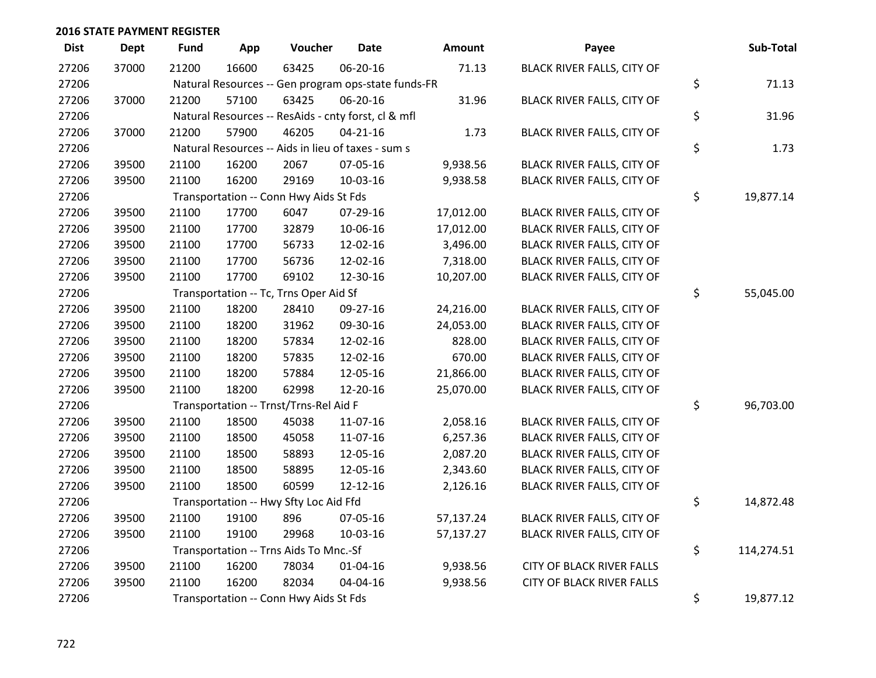| <b>Dist</b> | <b>Dept</b> | Fund  | App   | Voucher                                             | <b>Date</b>    | Amount    | Payee                            | Sub-Total        |
|-------------|-------------|-------|-------|-----------------------------------------------------|----------------|-----------|----------------------------------|------------------|
| 27206       | 37000       | 21200 | 16600 | 63425                                               | 06-20-16       | 71.13     | BLACK RIVER FALLS, CITY OF       |                  |
| 27206       |             |       |       | Natural Resources -- Gen program ops-state funds-FR |                |           |                                  | \$<br>71.13      |
| 27206       | 37000       | 21200 | 57100 | 63425                                               | 06-20-16       | 31.96     | BLACK RIVER FALLS, CITY OF       |                  |
| 27206       |             |       |       | Natural Resources -- ResAids - cnty forst, cl & mfl |                |           |                                  | \$<br>31.96      |
| 27206       | 37000       | 21200 | 57900 | 46205                                               | $04 - 21 - 16$ | 1.73      | BLACK RIVER FALLS, CITY OF       |                  |
| 27206       |             |       |       | Natural Resources -- Aids in lieu of taxes - sum s  |                |           |                                  | \$<br>1.73       |
| 27206       | 39500       | 21100 | 16200 | 2067                                                | 07-05-16       | 9,938.56  | BLACK RIVER FALLS, CITY OF       |                  |
| 27206       | 39500       | 21100 | 16200 | 29169                                               | 10-03-16       | 9,938.58  | BLACK RIVER FALLS, CITY OF       |                  |
| 27206       |             |       |       | Transportation -- Conn Hwy Aids St Fds              |                |           |                                  | \$<br>19,877.14  |
| 27206       | 39500       | 21100 | 17700 | 6047                                                | 07-29-16       | 17,012.00 | BLACK RIVER FALLS, CITY OF       |                  |
| 27206       | 39500       | 21100 | 17700 | 32879                                               | 10-06-16       | 17,012.00 | BLACK RIVER FALLS, CITY OF       |                  |
| 27206       | 39500       | 21100 | 17700 | 56733                                               | 12-02-16       | 3,496.00  | BLACK RIVER FALLS, CITY OF       |                  |
| 27206       | 39500       | 21100 | 17700 | 56736                                               | 12-02-16       | 7,318.00  | BLACK RIVER FALLS, CITY OF       |                  |
| 27206       | 39500       | 21100 | 17700 | 69102                                               | 12-30-16       | 10,207.00 | BLACK RIVER FALLS, CITY OF       |                  |
| 27206       |             |       |       | Transportation -- Tc, Trns Oper Aid Sf              |                |           |                                  | \$<br>55,045.00  |
| 27206       | 39500       | 21100 | 18200 | 28410                                               | 09-27-16       | 24,216.00 | BLACK RIVER FALLS, CITY OF       |                  |
| 27206       | 39500       | 21100 | 18200 | 31962                                               | 09-30-16       | 24,053.00 | BLACK RIVER FALLS, CITY OF       |                  |
| 27206       | 39500       | 21100 | 18200 | 57834                                               | 12-02-16       | 828.00    | BLACK RIVER FALLS, CITY OF       |                  |
| 27206       | 39500       | 21100 | 18200 | 57835                                               | 12-02-16       | 670.00    | BLACK RIVER FALLS, CITY OF       |                  |
| 27206       | 39500       | 21100 | 18200 | 57884                                               | 12-05-16       | 21,866.00 | BLACK RIVER FALLS, CITY OF       |                  |
| 27206       | 39500       | 21100 | 18200 | 62998                                               | 12-20-16       | 25,070.00 | BLACK RIVER FALLS, CITY OF       |                  |
| 27206       |             |       |       | Transportation -- Trnst/Trns-Rel Aid F              |                |           |                                  | \$<br>96,703.00  |
| 27206       | 39500       | 21100 | 18500 | 45038                                               | 11-07-16       | 2,058.16  | BLACK RIVER FALLS, CITY OF       |                  |
| 27206       | 39500       | 21100 | 18500 | 45058                                               | 11-07-16       | 6,257.36  | BLACK RIVER FALLS, CITY OF       |                  |
| 27206       | 39500       | 21100 | 18500 | 58893                                               | 12-05-16       | 2,087.20  | BLACK RIVER FALLS, CITY OF       |                  |
| 27206       | 39500       | 21100 | 18500 | 58895                                               | 12-05-16       | 2,343.60  | BLACK RIVER FALLS, CITY OF       |                  |
| 27206       | 39500       | 21100 | 18500 | 60599                                               | 12-12-16       | 2,126.16  | BLACK RIVER FALLS, CITY OF       |                  |
| 27206       |             |       |       | Transportation -- Hwy Sfty Loc Aid Ffd              |                |           |                                  | \$<br>14,872.48  |
| 27206       | 39500       | 21100 | 19100 | 896                                                 | 07-05-16       | 57,137.24 | BLACK RIVER FALLS, CITY OF       |                  |
| 27206       | 39500       | 21100 | 19100 | 29968                                               | 10-03-16       | 57,137.27 | BLACK RIVER FALLS, CITY OF       |                  |
| 27206       |             |       |       | Transportation -- Trns Aids To Mnc.-Sf              |                |           |                                  | \$<br>114,274.51 |
| 27206       | 39500       | 21100 | 16200 | 78034                                               | $01 - 04 - 16$ | 9,938.56  | <b>CITY OF BLACK RIVER FALLS</b> |                  |
| 27206       | 39500       | 21100 | 16200 | 82034                                               | 04-04-16       | 9,938.56  | <b>CITY OF BLACK RIVER FALLS</b> |                  |
| 27206       |             |       |       | Transportation -- Conn Hwy Aids St Fds              |                |           |                                  | \$<br>19,877.12  |